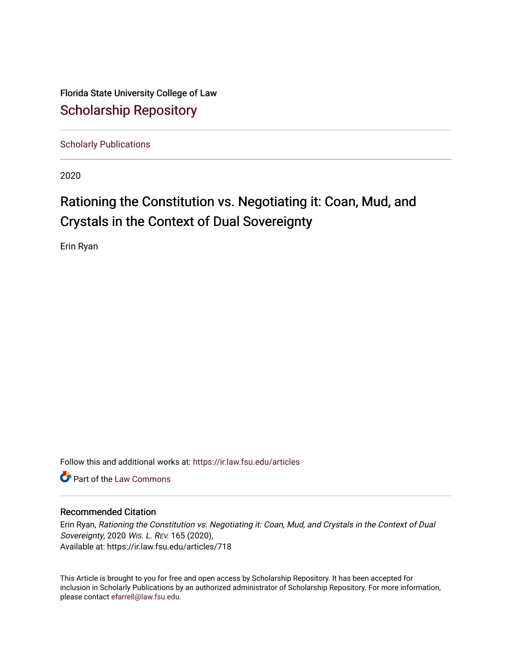Florida State University College of Law [Scholarship Repository](https://ir.law.fsu.edu/) 

[Scholarly Publications](https://ir.law.fsu.edu/articles) 

2020

# Rationing the Constitution vs. Negotiating it: Coan, Mud, and Crystals in the Context of Dual Sovereignty

Erin Ryan

Follow this and additional works at: [https://ir.law.fsu.edu/articles](https://ir.law.fsu.edu/articles?utm_source=ir.law.fsu.edu%2Farticles%2F718&utm_medium=PDF&utm_campaign=PDFCoverPages) 

**C** Part of the [Law Commons](https://network.bepress.com/hgg/discipline/578?utm_source=ir.law.fsu.edu%2Farticles%2F718&utm_medium=PDF&utm_campaign=PDFCoverPages)

## Recommended Citation

Erin Ryan, Rationing the Constitution vs. Negotiating it: Coan, Mud, and Crystals in the Context of Dual Sovereignty, 2020 WIS. L. REV. 165 (2020), Available at: https://ir.law.fsu.edu/articles/718

This Article is brought to you for free and open access by Scholarship Repository. It has been accepted for inclusion in Scholarly Publications by an authorized administrator of Scholarship Repository. For more information, please contact [efarrell@law.fsu.edu.](mailto:efarrell@law.fsu.edu)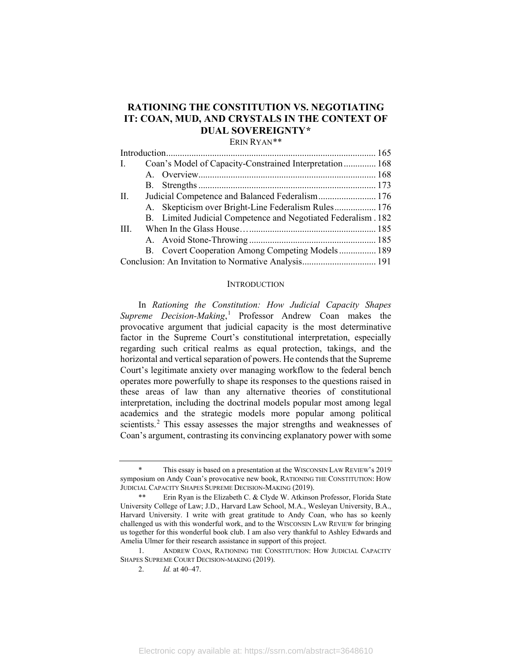## **RATIONING THE CONSTITUTION VS. NEGOTIATING IT: COAN, MUD, AND CRYSTALS IN THE CONTEXT OF DUAL SOVEREIGNTY[\\*](#page-1-0)**

ERIN RYAN[\\*\\*](#page-1-1)

| Coan's Model of Capacity-Constrained Interpretation 168<br>$\mathbf{I}$ . |
|---------------------------------------------------------------------------|
|                                                                           |
|                                                                           |
| П.<br>Judicial Competence and Balanced Federalism 176                     |
| A. Skepticism over Bright-Line Federalism Rules 176                       |
| B. Limited Judicial Competence and Negotiated Federalism. 182             |
| III.                                                                      |
|                                                                           |
| B. Covert Cooperation Among Competing Models 189                          |
|                                                                           |

#### <span id="page-1-4"></span>**INTRODUCTION**

In *Rationing the Constitution: How Judicial Capacity Shapes Supreme Decision-Making*, [1](#page-1-2) Professor Andrew Coan makes the provocative argument that judicial capacity is the most determinative factor in the Supreme Court's constitutional interpretation, especially regarding such critical realms as equal protection, takings, and the horizontal and vertical separation of powers. He contends that the Supreme Court's legitimate anxiety over managing workflow to the federal bench operates more powerfully to shape its responses to the questions raised in these areas of law than any alternative theories of constitutional interpretation, including the doctrinal models popular most among legal academics and the strategic models more popular among political scientists.<sup>[2](#page-1-3)</sup> This essay assesses the major strengths and weaknesses of Coan's argument, contrasting its convincing explanatory power with some

<span id="page-1-0"></span>This essay is based on a presentation at the WISCONSIN LAW REVIEW's 2019 symposium on Andy Coan's provocative new book, RATIONING THE CONSTITUTION: HOW JUDICIAL CAPACITY SHAPES SUPREME DECISION-MAKING (2019).

<span id="page-1-1"></span><sup>\*\*</sup> Erin Ryan is the Elizabeth C. & Clyde W. Atkinson Professor, Florida State University College of Law; J.D., Harvard Law School, M.A., Wesleyan University, B.A., Harvard University. I write with great gratitude to Andy Coan, who has so keenly challenged us with this wonderful work, and to the WISCONSIN LAW REVIEW for bringing us together for this wonderful book club. I am also very thankful to Ashley Edwards and Amelia Ulmer for their research assistance in support of this project.

<span id="page-1-3"></span><span id="page-1-2"></span><sup>1.</sup> ANDREW COAN, RATIONING THE CONSTITUTION: HOW JUDICIAL CAPACITY SHAPES SUPREME COURT DECISION-MAKING (2019).

<sup>2.</sup> *Id.* at 40–47.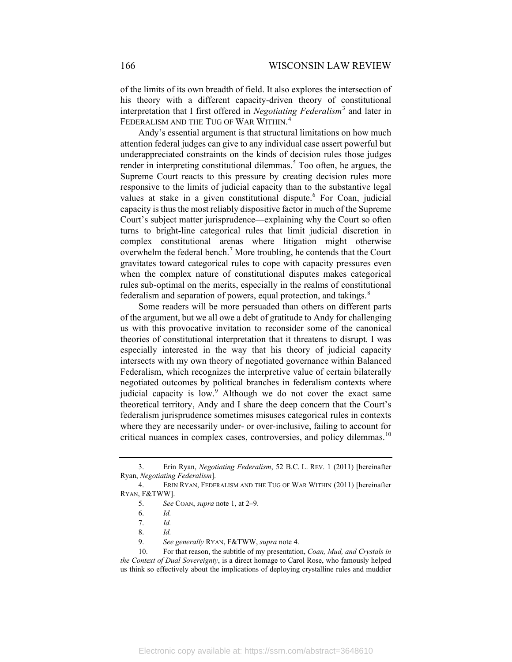<span id="page-2-9"></span>of the limits of its own breadth of field. It also explores the intersection of his theory with a different capacity-driven theory of constitutional interpretation that I first offered in *Negotiating Federalism*[3](#page-2-1) and later in FEDERALISM AND THE TUG OF WAR WITHIN. [4](#page-2-2)

<span id="page-2-0"></span>Andy's essential argument is that structural limitations on how much attention federal judges can give to any individual case assert powerful but underappreciated constraints on the kinds of decision rules those judges render in interpreting constitutional dilemmas.<sup>[5](#page-2-3)</sup> Too often, he argues, the Supreme Court reacts to this pressure by creating decision rules more responsive to the limits of judicial capacity than to the substantive legal values at stake in a given constitutional dispute.<sup>[6](#page-2-4)</sup> For Coan, judicial capacity is thus the most reliably dispositive factor in much of the Supreme Court's subject matter jurisprudence—explaining why the Court so often turns to bright-line categorical rules that limit judicial discretion in complex constitutional arenas where litigation might otherwise overwhelm the federal bench.<sup>[7](#page-2-5)</sup> More troubling, he contends that the Court gravitates toward categorical rules to cope with capacity pressures even when the complex nature of constitutional disputes makes categorical rules sub-optimal on the merits, especially in the realms of constitutional federalism and separation of powers, equal protection, and takings.<sup>[8](#page-2-6)</sup>

Some readers will be more persuaded than others on different parts of the argument, but we all owe a debt of gratitude to Andy for challenging us with this provocative invitation to reconsider some of the canonical theories of constitutional interpretation that it threatens to disrupt. I was especially interested in the way that his theory of judicial capacity intersects with my own theory of negotiated governance within Balanced Federalism, which recognizes the interpretive value of certain bilaterally negotiated outcomes by political branches in federalism contexts where judicial capacity is low.<sup>[9](#page-2-7)</sup> Although we do not cover the exact same theoretical territory, Andy and I share the deep concern that the Court's federalism jurisprudence sometimes misuses categorical rules in contexts where they are necessarily under- or over-inclusive, failing to account for critical nuances in complex cases, controversies, and policy dilemmas.<sup>[10](#page-2-8)</sup>

<span id="page-2-1"></span><sup>3.</sup> Erin Ryan, *Negotiating Federalism*, 52 B.C. L. REV. 1 (2011) [hereinafter Ryan, *Negotiating Federalism*].

<span id="page-2-4"></span><span id="page-2-3"></span><span id="page-2-2"></span><sup>4.</sup> ERIN RYAN, FEDERALISM AND THE TUG OF WAR WITHIN (2011) [hereinafter RYAN, F&TWW].

<sup>5.</sup> *See* COAN, *supra* note [1,](#page-1-4) at 2–9.

<sup>6.</sup> *Id.*

<sup>7.</sup> *Id.*

<sup>8.</sup> *Id.*

<sup>9.</sup> *See generally* RYAN, F&TWW, *supra* not[e 4.](#page-2-0)

<span id="page-2-8"></span><span id="page-2-7"></span><span id="page-2-6"></span><span id="page-2-5"></span><sup>10.</sup> For that reason, the subtitle of my presentation, *Coan, Mud, and Crystals in the Context of Dual Sovereignty*, is a direct homage to Carol Rose, who famously helped us think so effectively about the implications of deploying crystalline rules and muddier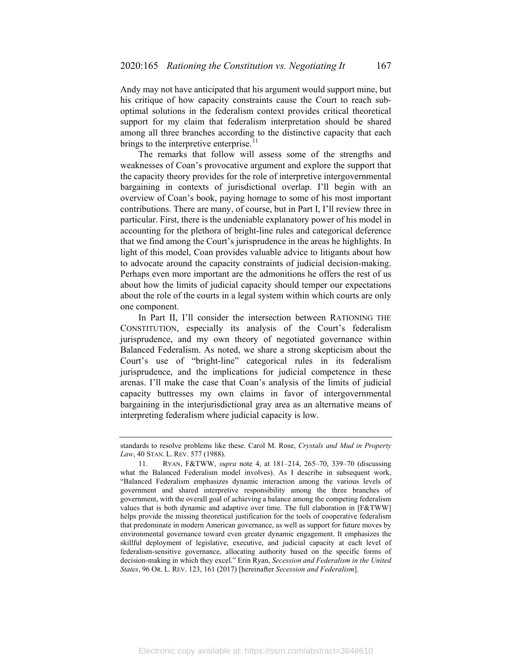Andy may not have anticipated that his argument would support mine, but his critique of how capacity constraints cause the Court to reach suboptimal solutions in the federalism context provides critical theoretical support for my claim that federalism interpretation should be shared among all three branches according to the distinctive capacity that each brings to the interpretive enterprise. $11$ 

<span id="page-3-1"></span>The remarks that follow will assess some of the strengths and weaknesses of Coan's provocative argument and explore the support that the capacity theory provides for the role of interpretive intergovernmental bargaining in contexts of jurisdictional overlap. I'll begin with an overview of Coan's book, paying homage to some of his most important contributions. There are many, of course, but in Part I, I'll review three in particular. First, there is the undeniable explanatory power of his model in accounting for the plethora of bright-line rules and categorical deference that we find among the Court's jurisprudence in the areas he highlights. In light of this model, Coan provides valuable advice to litigants about how to advocate around the capacity constraints of judicial decision-making. Perhaps even more important are the admonitions he offers the rest of us about how the limits of judicial capacity should temper our expectations about the role of the courts in a legal system within which courts are only one component.

In Part II, I'll consider the intersection between RATIONING THE CONSTITUTION, especially its analysis of the Court's federalism jurisprudence, and my own theory of negotiated governance within Balanced Federalism. As noted, we share a strong skepticism about the Court's use of "bright-line" categorical rules in its federalism jurisprudence, and the implications for judicial competence in these arenas. I'll make the case that Coan's analysis of the limits of judicial capacity buttresses my own claims in favor of intergovernmental bargaining in the interjurisdictional gray area as an alternative means of interpreting federalism where judicial capacity is low.

standards to resolve problems like these. Carol M. Rose, *Crystals and Mud in Property Law*, 40 STAN. L. REV. 577 (1988).

<span id="page-3-0"></span><sup>11.</sup> RYAN, F&TWW, *supra* note [4,](#page-2-0) at 181–214, 265–70, 339–70 (discussing what the Balanced Federalism model involves). As I describe in subsequent work, "Balanced Federalism emphasizes dynamic interaction among the various levels of government and shared interpretive responsibility among the three branches of government, with the overall goal of achieving a balance among the competing federalism values that is both dynamic and adaptive over time. The full elaboration in [F&TWW] helps provide the missing theoretical justification for the tools of cooperative federalism that predominate in modern American governance, as well as support for future moves by environmental governance toward even greater dynamic engagement. It emphasizes the skillful deployment of legislative, executive, and judicial capacity at each level of federalism-sensitive governance, allocating authority based on the specific forms of decision-making in which they excel." Erin Ryan, *Secession and Federalism in the United States*, 96 OR. L. REV. 123, 161 (2017) [hereinafter *Secession and Federalism*].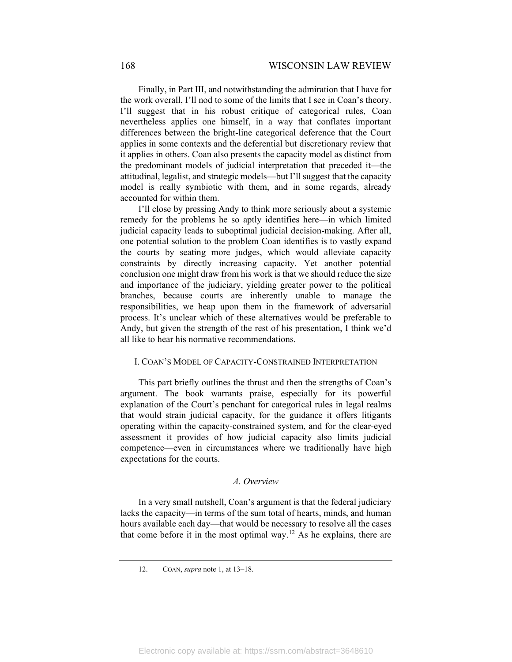Finally, in Part III, and notwithstanding the admiration that I have for the work overall, I'll nod to some of the limits that I see in Coan's theory. I'll suggest that in his robust critique of categorical rules, Coan nevertheless applies one himself, in a way that conflates important differences between the bright-line categorical deference that the Court applies in some contexts and the deferential but discretionary review that it applies in others. Coan also presents the capacity model as distinct from the predominant models of judicial interpretation that preceded it—the attitudinal, legalist, and strategic models—but I'll suggest that the capacity model is really symbiotic with them, and in some regards, already accounted for within them.

I'll close by pressing Andy to think more seriously about a systemic remedy for the problems he so aptly identifies here—in which limited judicial capacity leads to suboptimal judicial decision-making. After all, one potential solution to the problem Coan identifies is to vastly expand the courts by seating more judges, which would alleviate capacity constraints by directly increasing capacity. Yet another potential conclusion one might draw from his work is that we should reduce the size and importance of the judiciary, yielding greater power to the political branches, because courts are inherently unable to manage the responsibilities, we heap upon them in the framework of adversarial process. It's unclear which of these alternatives would be preferable to Andy, but given the strength of the rest of his presentation, I think we'd all like to hear his normative recommendations.

#### I. COAN'S MODEL OF CAPACITY-CONSTRAINED INTERPRETATION

This part briefly outlines the thrust and then the strengths of Coan's argument. The book warrants praise, especially for its powerful explanation of the Court's penchant for categorical rules in legal realms that would strain judicial capacity, for the guidance it offers litigants operating within the capacity-constrained system, and for the clear-eyed assessment it provides of how judicial capacity also limits judicial competence—even in circumstances where we traditionally have high expectations for the courts.

### *A. Overview*

<span id="page-4-0"></span>In a very small nutshell, Coan's argument is that the federal judiciary lacks the capacity—in terms of the sum total of hearts, minds, and human hours available each day—that would be necessary to resolve all the cases that come before it in the most optimal way.<sup>[12](#page-4-0)</sup> As he explains, there are

<sup>12.</sup> COAN, *supra* note [1,](#page-1-4) at 13–18.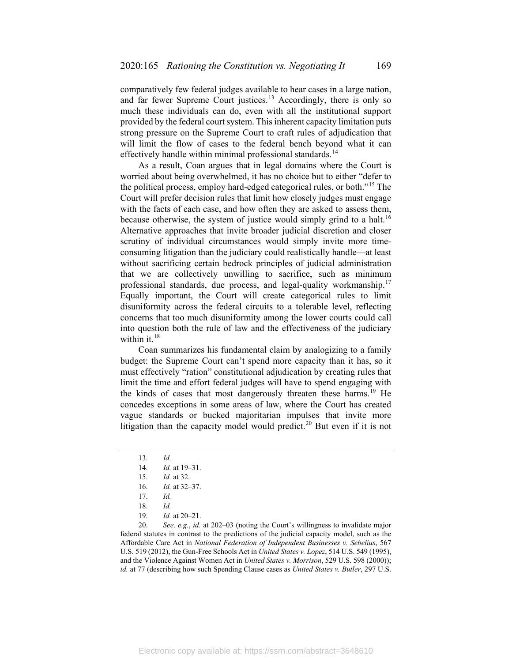comparatively few federal judges available to hear cases in a large nation, and far fewer Supreme Court justices.<sup>[13](#page-5-0)</sup> Accordingly, there is only so much these individuals can do, even with all the institutional support provided by the federal court system. This inherent capacity limitation puts strong pressure on the Supreme Court to craft rules of adjudication that will limit the flow of cases to the federal bench beyond what it can effectively handle within minimal professional standards.<sup>[14](#page-5-1)</sup>

As a result, Coan argues that in legal domains where the Court is worried about being overwhelmed, it has no choice but to either "defer to the political process, employ hard-edged categorical rules, or both."[15](#page-5-2) The Court will prefer decision rules that limit how closely judges must engage with the facts of each case, and how often they are asked to assess them, because otherwise, the system of justice would simply grind to a halt.<sup>[16](#page-5-3)</sup> Alternative approaches that invite broader judicial discretion and closer scrutiny of individual circumstances would simply invite more timeconsuming litigation than the judiciary could realistically handle—at least without sacrificing certain bedrock principles of judicial administration that we are collectively unwilling to sacrifice, such as minimum professional standards, due process, and legal-quality workmanship.<sup>[17](#page-5-4)</sup> Equally important, the Court will create categorical rules to limit disuniformity across the federal circuits to a tolerable level, reflecting concerns that too much disuniformity among the lower courts could call into question both the rule of law and the effectiveness of the judiciary within it.<sup>[18](#page-5-5)</sup>

Coan summarizes his fundamental claim by analogizing to a family budget: the Supreme Court can't spend more capacity than it has, so it must effectively "ration" constitutional adjudication by creating rules that limit the time and effort federal judges will have to spend engaging with the kinds of cases that most dangerously threaten these harms.<sup>[19](#page-5-6)</sup> He concedes exceptions in some areas of law, where the Court has created vague standards or bucked majoritarian impulses that invite more litigation than the capacity model would predict.<sup>[20](#page-5-7)</sup> But even if it is not

<span id="page-5-7"></span><span id="page-5-6"></span><span id="page-5-5"></span><span id="page-5-4"></span><span id="page-5-3"></span><span id="page-5-2"></span><span id="page-5-1"></span>20. *See, e.g.*, *id.* at 202–03 (noting the Court's willingness to invalidate major federal statutes in contrast to the predictions of the judicial capacity model, such as the Affordable Care Act in *National Federation of Independent Businesses v. Sebelius*, 567 U.S. 519 (2012), the Gun-Free Schools Act in *United States v. Lopez*, 514 U.S. 549 (1995), and the Violence Against Women Act in *United States v. Morrison*, 529 U.S. 598 (2000)); *id.* at 77 (describing how such Spending Clause cases as *United States v. Butler*, 297 U.S.

<span id="page-5-0"></span><sup>13.</sup> *Id.*

<sup>14.</sup> *Id.* at 19–31.

<sup>15.</sup> *Id.* at 32.

<sup>16.</sup> *Id.* at 32–37.

<sup>17.</sup> *Id.*

<sup>18.</sup> *Id.*

<sup>19.</sup> *Id.* at 20–21.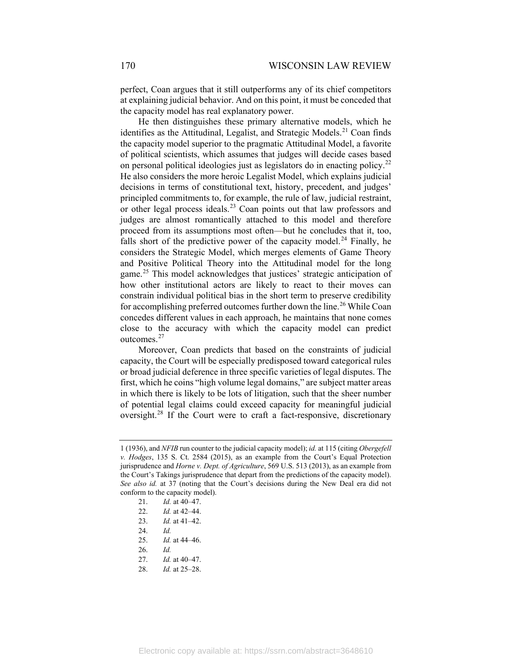perfect, Coan argues that it still outperforms any of its chief competitors at explaining judicial behavior. And on this point, it must be conceded that the capacity model has real explanatory power.

He then distinguishes these primary alternative models, which he identifies as the Attitudinal, Legalist, and Strategic Models.<sup>[21](#page-6-0)</sup> Coan finds the capacity model superior to the pragmatic Attitudinal Model, a favorite of political scientists, which assumes that judges will decide cases based on personal political ideologies just as legislators do in enacting policy.<sup>[22](#page-6-1)</sup> He also considers the more heroic Legalist Model, which explains judicial decisions in terms of constitutional text, history, precedent, and judges' principled commitments to, for example, the rule of law, judicial restraint, or other legal process ideals.<sup>[23](#page-6-2)</sup> Coan points out that law professors and judges are almost romantically attached to this model and therefore proceed from its assumptions most often—but he concludes that it, too, falls short of the predictive power of the capacity model.<sup>[24](#page-6-3)</sup> Finally, he considers the Strategic Model, which merges elements of Game Theory and Positive Political Theory into the Attitudinal model for the long game.<sup>[25](#page-6-4)</sup> This model acknowledges that justices' strategic anticipation of how other institutional actors are likely to react to their moves can constrain individual political bias in the short term to preserve credibility for accomplishing preferred outcomes further down the line.<sup>[26](#page-6-5)</sup> While Coan concedes different values in each approach, he maintains that none comes close to the accuracy with which the capacity model can predict outcomes.[27](#page-6-6)

Moreover, Coan predicts that based on the constraints of judicial capacity, the Court will be especially predisposed toward categorical rules or broad judicial deference in three specific varieties of legal disputes. The first, which he coins "high volume legal domains," are subject matter areas in which there is likely to be lots of litigation, such that the sheer number of potential legal claims could exceed capacity for meaningful judicial oversight.[28](#page-6-7) If the Court were to craft a fact-responsive, discretionary

- <span id="page-6-4"></span>25. *Id.* at 44–46.
- <span id="page-6-5"></span>26. *Id.*
- 27. *Id.* at 40–47.
- <span id="page-6-7"></span><span id="page-6-6"></span>28. *Id.* at 25–28.

<span id="page-6-1"></span><span id="page-6-0"></span><sup>1 (1936),</sup> and *NFIB* run counter to the judicial capacity model); *id.* at 115 (citing *Obergefell v. Hodges*, 135 S. Ct. 2584 (2015), as an example from the Court's Equal Protection jurisprudence and *Horne v. Dept. of Agriculture*, 569 U.S. 513 (2013), as an example from the Court's Takings jurisprudence that depart from the predictions of the capacity model). *See also id.* at 37 (noting that the Court's decisions during the New Deal era did not conform to the capacity model).

<sup>21.</sup> *Id.* at 40–47.

<sup>22.</sup> *Id.* at 42–44.

<span id="page-6-2"></span><sup>23.</sup> *Id.* at 41–42.

<span id="page-6-3"></span><sup>24.</sup> *Id.*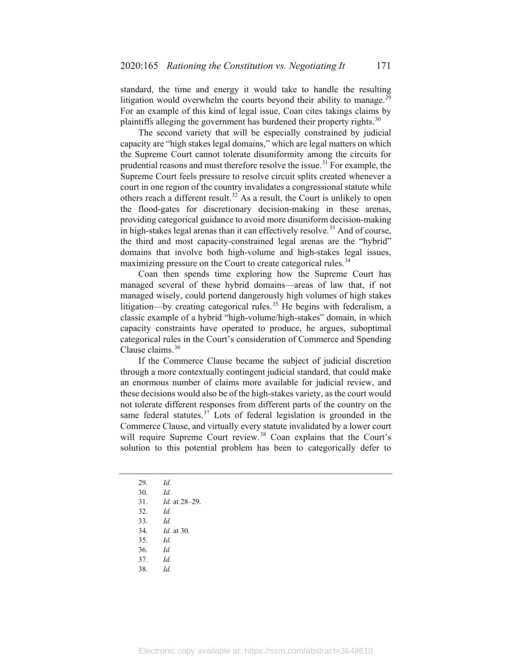standard, the time and energy it would take to handle the resulting litigation would overwhelm the courts beyond their ability to manage.<sup>[29](#page-7-0)</sup> For an example of this kind of legal issue, Coan cites takings claims by plaintiffs alleging the government has burdened their property rights. $30$ 

The second variety that will be especially constrained by judicial capacity are "high stakes legal domains," which are legal matters on which the Supreme Court cannot tolerate disuniformity among the circuits for prudential reasons and must therefore resolve the issue.<sup>[31](#page-7-2)</sup> For example, the Supreme Court feels pressure to resolve circuit splits created whenever a court in one region of the country invalidates a congressional statute while others reach a different result.<sup>[32](#page-7-3)</sup> As a result, the Court is unlikely to open the flood-gates for discretionary decision-making in these arenas, providing categorical guidance to avoid more disuniform decision-making in high-stakes legal arenas than it can effectively resolve.<sup>[33](#page-7-4)</sup> And of course, the third and most capacity-constrained legal arenas are the "hybrid" domains that involve both high-volume and high-stakes legal issues, maximizing pressure on the Court to create categorical rules.<sup>[34](#page-7-5)</sup>

Coan then spends time exploring how the Supreme Court has managed several of these hybrid domains—areas of law that, if not managed wisely, could portend dangerously high volumes of high stakes litigation—by creating categorical rules.<sup>[35](#page-7-6)</sup> He begins with federalism, a classic example of a hybrid "high-volume/high-stakes" domain, in which capacity constraints have operated to produce, he argues, suboptimal categorical rules in the Court's consideration of Commerce and Spending Clause claims.<sup>[36](#page-7-7)</sup>

If the Commerce Clause became the subject of judicial discretion through a more contextually contingent judicial standard, that could make an enormous number of claims more available for judicial review, and these decisions would also be of the high-stakes variety, as the court would not tolerate different responses from different parts of the country on the same federal statutes. $37$  Lots of federal legislation is grounded in the Commerce Clause, and virtually every statute invalidated by a lower court will require Supreme Court review.<sup>[38](#page-7-9)</sup> Coan explains that the Court's solution to this potential problem has been to categorically defer to

- 32. *Id.*
- <span id="page-7-5"></span><span id="page-7-4"></span>33. *Id.*

34. *Id.* at 30.

- <span id="page-7-6"></span>35. *Id.*
- <span id="page-7-8"></span><span id="page-7-7"></span>36. *Id.*
- <span id="page-7-9"></span>37. *Id.*
- 38. *Id.*

<sup>29.</sup> *Id.*

<span id="page-7-3"></span><span id="page-7-2"></span><span id="page-7-1"></span><span id="page-7-0"></span><sup>30.</sup> *Id.*

<sup>31.</sup> *Id.* at 28–29.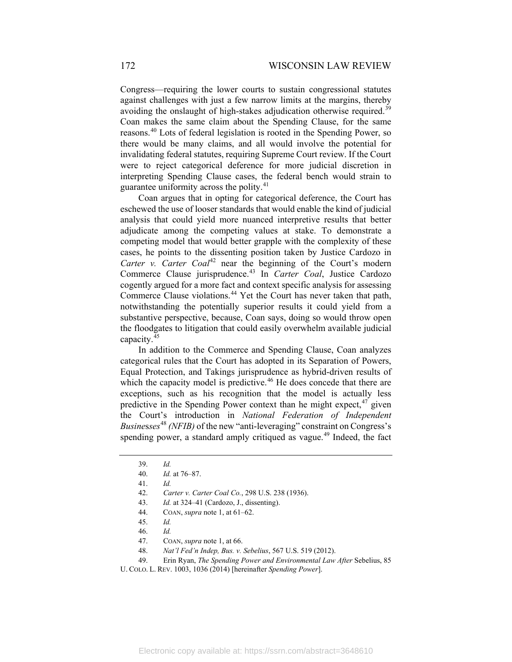Congress—requiring the lower courts to sustain congressional statutes against challenges with just a few narrow limits at the margins, thereby avoiding the onslaught of high-stakes adjudication otherwise required.<sup>[39](#page-8-0)</sup> Coan makes the same claim about the Spending Clause, for the same reasons.[40](#page-8-1) Lots of federal legislation is rooted in the Spending Power, so there would be many claims, and all would involve the potential for invalidating federal statutes, requiring Supreme Court review. If the Court were to reject categorical deference for more judicial discretion in interpreting Spending Clause cases, the federal bench would strain to guarantee uniformity across the polity.<sup>[41](#page-8-2)</sup>

Coan argues that in opting for categorical deference, the Court has eschewed the use of looser standards that would enable the kind of judicial analysis that could yield more nuanced interpretive results that better adjudicate among the competing values at stake. To demonstrate a competing model that would better grapple with the complexity of these cases, he points to the dissenting position taken by Justice Cardozo in Carter v. Carter Coal<sup>[42](#page-8-3)</sup> near the beginning of the Court's modern Commerce Clause jurisprudence.[43](#page-8-4) In *Carter Coal*, Justice Cardozo cogently argued for a more fact and context specific analysis for assessing Commerce Clause violations.<sup>[44](#page-8-5)</sup> Yet the Court has never taken that path, notwithstanding the potentially superior results it could yield from a substantive perspective, because, Coan says, doing so would throw open the floodgates to litigation that could easily overwhelm available judicial capacity.[45](#page-8-6)

In addition to the Commerce and Spending Clause, Coan analyzes categorical rules that the Court has adopted in its Separation of Powers, Equal Protection, and Takings jurisprudence as hybrid-driven results of which the capacity model is predictive.<sup>[46](#page-8-7)</sup> He does concede that there are exceptions, such as his recognition that the model is actually less predictive in the Spending Power context than he might expect,  $47$  given the Court's introduction in *National Federation of Independent Busine*s*ses*[48](#page-8-9) *(NFIB)* of the new "anti-leveraging" constraint on Congress's spending power, a standard amply critiqued as vague.<sup>[49](#page-8-10)</sup> Indeed, the fact

- 44. COAN, *supra* not[e 1,](#page-1-4) at 61–62.
- 45. *Id.*

- 48. *Nat'l Fed'n Indep, Bus. v. Sebelius*, 567 U.S. 519 (2012).
- 49. Erin Ryan, *The Spending Power and Environmental Law After* Sebelius, 85

<span id="page-8-11"></span><span id="page-8-0"></span><sup>39.</sup> *Id.*

<span id="page-8-1"></span><sup>40.</sup> *Id.* at 76–87.

<sup>41.</sup> *Id.*

<span id="page-8-4"></span><span id="page-8-3"></span><span id="page-8-2"></span><sup>42.</sup> *Carter v. Carter Coal Co.*, 298 U.S. 238 (1936).

<sup>43.</sup> *Id.* at 324–41 (Cardozo, J., dissenting).

<sup>46.</sup> *Id.*

<sup>47.</sup> COAN, *supra* not[e 1,](#page-1-4) at 66.

<span id="page-8-10"></span><span id="page-8-9"></span><span id="page-8-8"></span><span id="page-8-7"></span><span id="page-8-6"></span><span id="page-8-5"></span>U. COLO. L. REV. 1003, 1036 (2014) [hereinafter *Spending Power*].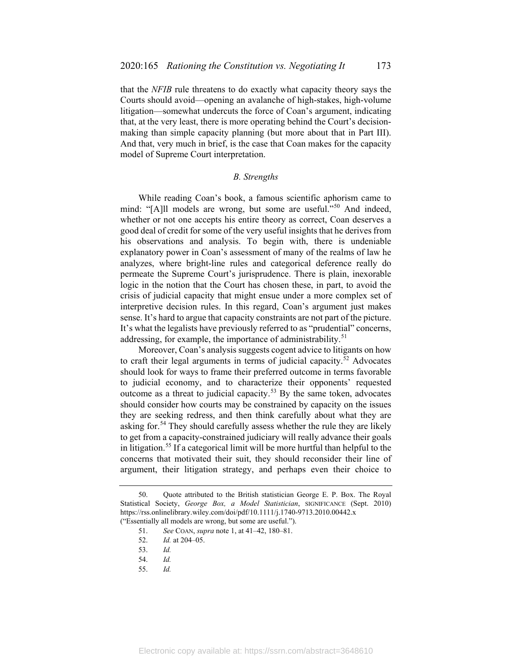that the *NFIB* rule threatens to do exactly what capacity theory says the Courts should avoid—opening an avalanche of high-stakes, high-volume litigation—somewhat undercuts the force of Coan's argument, indicating that, at the very least, there is more operating behind the Court's decisionmaking than simple capacity planning (but more about that in Part III). And that, very much in brief, is the case that Coan makes for the capacity model of Supreme Court interpretation.

## <span id="page-9-6"></span>*B. Strengths*

While reading Coan's book, a famous scientific aphorism came to mind: "[A]ll models are wrong, but some are useful."<sup>[50](#page-9-0)</sup> And indeed, whether or not one accepts his entire theory as correct, Coan deserves a good deal of credit for some of the very useful insights that he derives from his observations and analysis. To begin with, there is undeniable explanatory power in Coan's assessment of many of the realms of law he analyzes, where bright-line rules and categorical deference really do permeate the Supreme Court's jurisprudence. There is plain, inexorable logic in the notion that the Court has chosen these, in part, to avoid the crisis of judicial capacity that might ensue under a more complex set of interpretive decision rules. In this regard, Coan's argument just makes sense. It's hard to argue that capacity constraints are not part of the picture. It's what the legalists have previously referred to as "prudential" concerns, addressing, for example, the importance of administrability.<sup>[51](#page-9-1)</sup>

Moreover, Coan's analysis suggests cogent advice to litigants on how to craft their legal arguments in terms of judicial capacity.<sup>[52](#page-9-2)</sup> Advocates should look for ways to frame their preferred outcome in terms favorable to judicial economy, and to characterize their opponents' requested outcome as a threat to judicial capacity.<sup>[53](#page-9-3)</sup> By the same token, advocates should consider how courts may be constrained by capacity on the issues they are seeking redress, and then think carefully about what they are asking for.<sup>[54](#page-9-4)</sup> They should carefully assess whether the rule they are likely to get from a capacity-constrained judiciary will really advance their goals in litigation.<sup>[55](#page-9-5)</sup> If a categorical limit will be more hurtful than helpful to the concerns that motivated their suit, they should reconsider their line of argument, their litigation strategy, and perhaps even their choice to

<span id="page-9-5"></span>55. *Id.*

<span id="page-9-4"></span><span id="page-9-3"></span><span id="page-9-2"></span><span id="page-9-1"></span><span id="page-9-0"></span><sup>50.</sup> Quote attributed to the British statistician George E. P. Box. The Royal Statistical Society, *George Box, a Model Statistician*, SIGNIFICANCE (Sept. 2010) https://rss.onlinelibrary.wiley.com/doi/pdf/10.1111/j.1740-9713.2010.00442.x ("Essentially all models are wrong, but some are useful.").

<sup>51.</sup> *See* COAN, *supra* note [1,](#page-1-4) at 41–42, 180–81.

<sup>52.</sup> *Id.* at 204–05.

<sup>53.</sup> *Id.*

<sup>54.</sup> *Id.*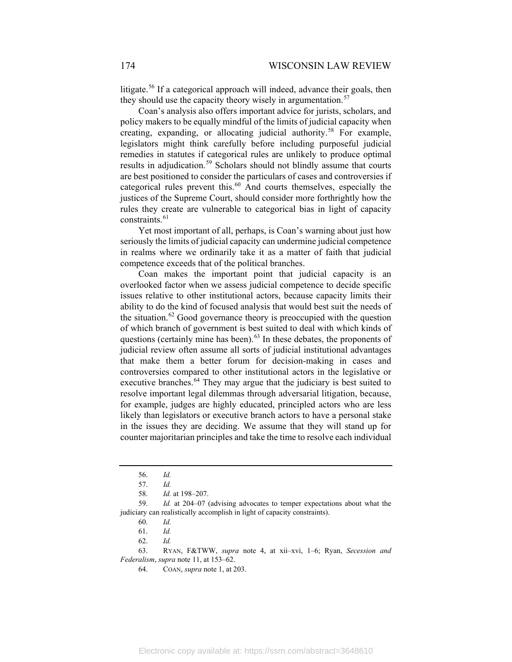litigate.<sup>[56](#page-10-0)</sup> If a categorical approach will indeed, advance their goals, then they should use the capacity theory wisely in argumentation.<sup>[57](#page-10-1)</sup>

Coan's analysis also offers important advice for jurists, scholars, and policy makers to be equally mindful of the limits of judicial capacity when creating, expanding, or allocating judicial authority.<sup>[58](#page-10-2)</sup> For example, legislators might think carefully before including purposeful judicial remedies in statutes if categorical rules are unlikely to produce optimal results in adjudication.<sup>[59](#page-10-3)</sup> Scholars should not blindly assume that courts are best positioned to consider the particulars of cases and controversies if categorical rules prevent this.<sup>[60](#page-10-4)</sup> And courts themselves, especially the justices of the Supreme Court, should consider more forthrightly how the rules they create are vulnerable to categorical bias in light of capacity constraints.<sup>[61](#page-10-5)</sup>

Yet most important of all, perhaps, is Coan's warning about just how seriously the limits of judicial capacity can undermine judicial competence in realms where we ordinarily take it as a matter of faith that judicial competence exceeds that of the political branches.

Coan makes the important point that judicial capacity is an overlooked factor when we assess judicial competence to decide specific issues relative to other institutional actors, because capacity limits their ability to do the kind of focused analysis that would best suit the needs of the situation.<sup>[62](#page-10-6)</sup> Good governance theory is preoccupied with the question of which branch of government is best suited to deal with which kinds of questions (certainly mine has been).<sup>[63](#page-10-7)</sup> In these debates, the proponents of judicial review often assume all sorts of judicial institutional advantages that make them a better forum for decision-making in cases and controversies compared to other institutional actors in the legislative or executive branches.<sup>[64](#page-10-8)</sup> They may argue that the judiciary is best suited to resolve important legal dilemmas through adversarial litigation, because, for example, judges are highly educated, principled actors who are less likely than legislators or executive branch actors to have a personal stake in the issues they are deciding. We assume that they will stand up for counter majoritarian principles and take the time to resolve each individual

<sup>56.</sup> *Id.*

<sup>57.</sup> *Id.*

<sup>58.</sup> *Id.* at 198–207.

<span id="page-10-4"></span><span id="page-10-3"></span><span id="page-10-2"></span><span id="page-10-1"></span><span id="page-10-0"></span><sup>59.</sup> *Id.* at 204–07 (advising advocates to temper expectations about what the judiciary can realistically accomplish in light of capacity constraints).

<sup>60.</sup> *Id.*

<sup>61.</sup> *Id.*

<sup>62.</sup> *Id.*

<span id="page-10-8"></span><span id="page-10-7"></span><span id="page-10-6"></span><span id="page-10-5"></span><sup>63.</sup> RYAN, F&TWW, *supra* note [4,](#page-2-0) at xii–xvi, 1–6; Ryan, *Secession and Federalism*, *supra* note [11,](#page-3-1) at 153–62.

<sup>64.</sup> COAN, *supra* not[e 1,](#page-1-4) at 203.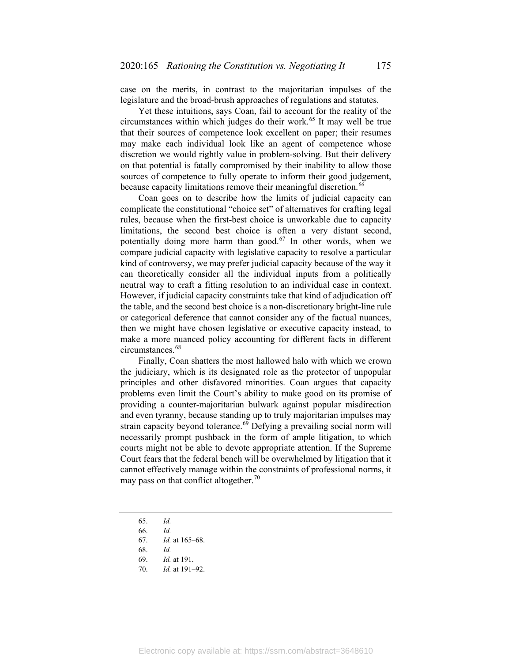case on the merits, in contrast to the majoritarian impulses of the legislature and the broad-brush approaches of regulations and statutes.

Yet these intuitions, says Coan, fail to account for the reality of the circumstances within which judges do their work.[65](#page-11-0) It may well be true that their sources of competence look excellent on paper; their resumes may make each individual look like an agent of competence whose discretion we would rightly value in problem-solving. But their delivery on that potential is fatally compromised by their inability to allow those sources of competence to fully operate to inform their good judgement, because capacity limitations remove their meaningful discretion.<sup>[66](#page-11-1)</sup>

Coan goes on to describe how the limits of judicial capacity can complicate the constitutional "choice set" of alternatives for crafting legal rules, because when the first-best choice is unworkable due to capacity limitations, the second best choice is often a very distant second, potentially doing more harm than good.<sup>[67](#page-11-2)</sup> In other words, when we compare judicial capacity with legislative capacity to resolve a particular kind of controversy, we may prefer judicial capacity because of the way it can theoretically consider all the individual inputs from a politically neutral way to craft a fitting resolution to an individual case in context. However, if judicial capacity constraints take that kind of adjudication off the table, and the second best choice is a non-discretionary bright-line rule or categorical deference that cannot consider any of the factual nuances, then we might have chosen legislative or executive capacity instead, to make a more nuanced policy accounting for different facts in different circumstances.<sup>[68](#page-11-3)</sup>

Finally, Coan shatters the most hallowed halo with which we crown the judiciary, which is its designated role as the protector of unpopular principles and other disfavored minorities. Coan argues that capacity problems even limit the Court's ability to make good on its promise of providing a counter-majoritarian bulwark against popular misdirection and even tyranny, because standing up to truly majoritarian impulses may strain capacity beyond tolerance.<sup>[69](#page-11-4)</sup> Defying a prevailing social norm will necessarily prompt pushback in the form of ample litigation, to which courts might not be able to devote appropriate attention. If the Supreme Court fears that the federal bench will be overwhelmed by litigation that it cannot effectively manage within the constraints of professional norms, it may pass on that conflict altogether.<sup>[70](#page-11-5)</sup>

- <span id="page-11-0"></span>65. *Id.*
- <span id="page-11-1"></span>66. *Id.*
- <span id="page-11-2"></span>67. *Id.* at 165–68.
- 68. *Id.*
- 69. *Id.* at 191.
- <span id="page-11-5"></span><span id="page-11-4"></span><span id="page-11-3"></span>70. *Id.* at 191–92.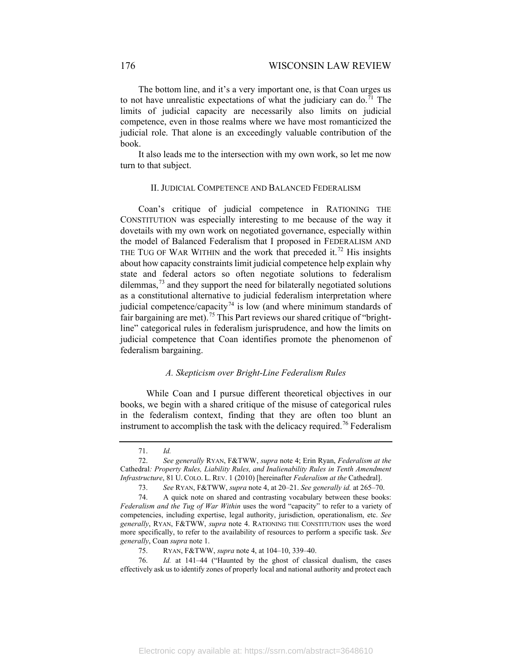The bottom line, and it's a very important one, is that Coan urges us to not have unrealistic expectations of what the judiciary can do.<sup>[71](#page-12-0)</sup> The limits of judicial capacity are necessarily also limits on judicial competence, even in those realms where we have most romanticized the judicial role. That alone is an exceedingly valuable contribution of the book.

It also leads me to the intersection with my own work, so let me now turn to that subject.

#### <span id="page-12-6"></span>II. JUDICIAL COMPETENCE AND BALANCED FEDERALISM

Coan's critique of judicial competence in RATIONING THE CONSTITUTION was especially interesting to me because of the way it dovetails with my own work on negotiated governance, especially within the model of Balanced Federalism that I proposed in FEDERALISM AND THE TUG OF WAR WITHIN and the work that preceded it.<sup>[72](#page-12-1)</sup> His insights about how capacity constraints limit judicial competence help explain why state and federal actors so often negotiate solutions to federalism dilemmas, $73$  and they support the need for bilaterally negotiated solutions as a constitutional alternative to judicial federalism interpretation where judicial competence/capacity<sup>[74](#page-12-3)</sup> is low (and where minimum standards of fair bargaining are met).<sup>[75](#page-12-4)</sup> This Part reviews our shared critique of "brightline" categorical rules in federalism jurisprudence, and how the limits on judicial competence that Coan identifies promote the phenomenon of federalism bargaining.

## *A. Skepticism over Bright-Line Federalism Rules*

While Coan and I pursue different theoretical objectives in our books, we begin with a shared critique of the misuse of categorical rules in the federalism context, finding that they are often too blunt an instrument to accomplish the task with the delicacy required.<sup>[76](#page-12-5)</sup> Federalism

<sup>71.</sup> *Id.*

<span id="page-12-1"></span><span id="page-12-0"></span><sup>72.</sup> *See generally* RYAN, F&TWW, *supra* note [4;](#page-2-0) Erin Ryan, *Federalism at the*  Cathedral*: Property Rules, Liability Rules, and Inalienability Rules in Tenth Amendment Infrastructure*, 81 U. COLO. L. REV. 1 (2010) [hereinafter *Federalism at the* Cathedral].

<sup>73.</sup> *See* RYAN, F&TWW, *supra* note [4,](#page-2-0) at 20–21. *See generally id.* at 265–70.

<span id="page-12-3"></span><span id="page-12-2"></span><sup>74.</sup> A quick note on shared and contrasting vocabulary between these books: *Federalism and the Tug of War Within* uses the word "capacity" to refer to a variety of competencies, including expertise, legal authority, jurisdiction, operationalism, etc. *See generally*, RYAN, F&TWW, *supra* note [4.](#page-2-0) RATIONING THE CONSTITUTION uses the word more specifically, to refer to the availability of resources to perform a specific task. *See generally*, Coan *supra* not[e 1.](#page-1-4)

<sup>75.</sup> RYAN, F&TWW, *supra* note [4,](#page-2-0) at 104–10, 339–40.

<span id="page-12-5"></span><span id="page-12-4"></span><sup>76.</sup> *Id.* at 141–44 ("Haunted by the ghost of classical dualism, the cases effectively ask us to identify zones of properly local and national authority and protect each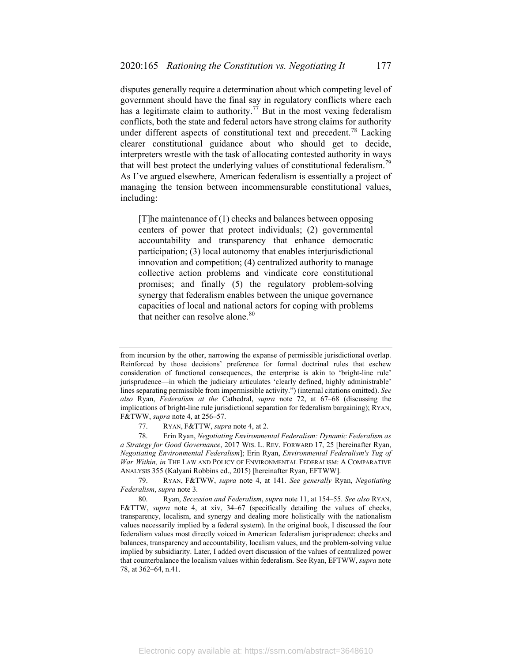disputes generally require a determination about which competing level of government should have the final say in regulatory conflicts where each has a legitimate claim to authority.<sup>[77](#page-13-1)</sup> But in the most vexing federalism conflicts, both the state and federal actors have strong claims for authority under different aspects of constitutional text and precedent.<sup>[78](#page-13-2)</sup> Lacking clearer constitutional guidance about who should get to decide, interpreters wrestle with the task of allocating contested authority in ways that will best protect the underlying values of constitutional federalism.<sup>[79](#page-13-3)</sup> As I've argued elsewhere, American federalism is essentially a project of managing the tension between incommensurable constitutional values, including:

<span id="page-13-0"></span>[T]he maintenance of (1) checks and balances between opposing centers of power that protect individuals; (2) governmental accountability and transparency that enhance democratic participation; (3) local autonomy that enables interjurisdictional innovation and competition; (4) centralized authority to manage collective action problems and vindicate core constitutional promises; and finally (5) the regulatory problem-solving synergy that federalism enables between the unique governance capacities of local and national actors for coping with problems that neither can resolve alone.<sup>[80](#page-13-4)</sup>

from incursion by the other, narrowing the expanse of permissible jurisdictional overlap. Reinforced by those decisions' preference for formal doctrinal rules that eschew consideration of functional consequences, the enterprise is akin to 'bright-line rule' jurisprudence—in which the judiciary articulates 'clearly defined, highly administrable' lines separating permissible from impermissible activity.") (internal citations omitted). *See also* Ryan, *Federalism at the* Cathedral, *supra* note [72,](#page-12-6) at 67–68 (discussing the implications of bright-line rule jurisdictional separation for federalism bargaining); RYAN, F&TWW, *supra* not[e 4,](#page-2-0) at 256–57.

<sup>77.</sup> RYAN, F&TTW, *supra* note [4,](#page-2-0) at 2.

<span id="page-13-2"></span><span id="page-13-1"></span><sup>78.</sup> Erin Ryan, *Negotiating Environmental Federalism: Dynamic Federalism as a Strategy for Good Governance*, 2017 WIS. L. REV. FORWARD 17, 25 [hereinafter Ryan, *Negotiating Environmental Federalism*]; Erin Ryan, *Environmental Federalism's Tug of War Within, in* THE LAW AND POLICY OF ENVIRONMENTAL FEDERALISM: A COMPARATIVE ANALYSIS 355 (Kalyani Robbins ed., 2015) [hereinafter Ryan, EFTWW].

<span id="page-13-3"></span><sup>79.</sup> RYAN, F&TWW, *supra* note [4,](#page-2-0) at 141. *See generally* Ryan, *Negotiating Federalism*, *supra* note [3.](#page-2-9)

<span id="page-13-4"></span><sup>80.</sup> Ryan, *Secession and Federalism*, *supra* not[e 11,](#page-3-1) at 154–55. *See also* RYAN, F&TTW, *supra* note [4,](#page-2-0) at xiv, 34–67 (specifically detailing the values of checks, transparency, localism, and synergy and dealing more holistically with the nationalism values necessarily implied by a federal system). In the original book, I discussed the four federalism values most directly voiced in American federalism jurisprudence: checks and balances, transparency and accountability, localism values, and the problem-solving value implied by subsidiarity. Later, I added overt discussion of the values of centralized power that counterbalance the localism values within federalism. See Ryan, EFTWW, *supra* note [78,](#page-13-0) at 362–64, n.41.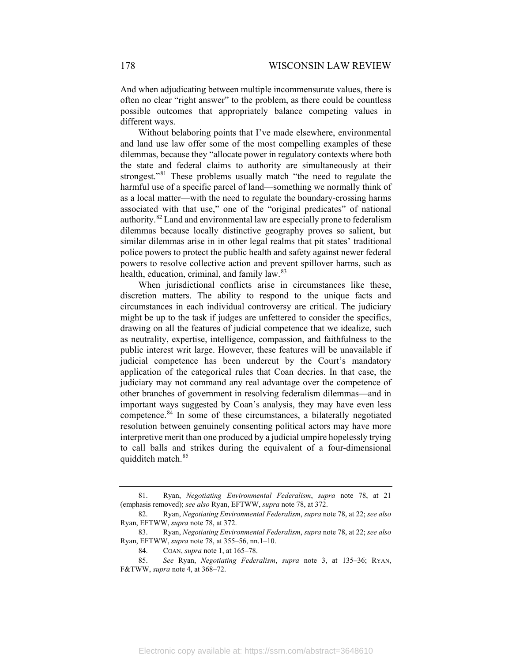And when adjudicating between multiple incommensurate values, there is often no clear "right answer" to the problem, as there could be countless possible outcomes that appropriately balance competing values in different ways.

Without belaboring points that I've made elsewhere, environmental and land use law offer some of the most compelling examples of these dilemmas, because they "allocate power in regulatory contexts where both the state and federal claims to authority are simultaneously at their strongest."<sup>[81](#page-14-0)</sup> These problems usually match "the need to regulate the harmful use of a specific parcel of land—something we normally think of as a local matter—with the need to regulate the boundary-crossing harms associated with that use," one of the "original predicates" of national authority.<sup>[82](#page-14-1)</sup> Land and environmental law are especially prone to federalism dilemmas because locally distinctive geography proves so salient, but similar dilemmas arise in in other legal realms that pit states' traditional police powers to protect the public health and safety against newer federal powers to resolve collective action and prevent spillover harms, such as health, education, criminal, and family law.<sup>[83](#page-14-2)</sup>

When jurisdictional conflicts arise in circumstances like these, discretion matters. The ability to respond to the unique facts and circumstances in each individual controversy are critical. The judiciary might be up to the task if judges are unfettered to consider the specifics, drawing on all the features of judicial competence that we idealize, such as neutrality, expertise, intelligence, compassion, and faithfulness to the public interest writ large. However, these features will be unavailable if judicial competence has been undercut by the Court's mandatory application of the categorical rules that Coan decries. In that case, the judiciary may not command any real advantage over the competence of other branches of government in resolving federalism dilemmas—and in important ways suggested by Coan's analysis, they may have even less competence.[84](#page-14-3) In some of these circumstances, a bilaterally negotiated resolution between genuinely consenting political actors may have more interpretive merit than one produced by a judicial umpire hopelessly trying to call balls and strikes during the equivalent of a four-dimensional quidditch match.<sup>[85](#page-14-4)</sup>

<span id="page-14-0"></span><sup>81.</sup> Ryan, *Negotiating Environmental Federalism*, *supra* note [78,](#page-13-0) at 21 (emphasis removed); *see also* Ryan, EFTWW, *supra* not[e 78,](#page-13-0) at 372.

<span id="page-14-1"></span><sup>82.</sup> Ryan, *Negotiating Environmental Federalism*, *supra* note [78,](#page-13-0) at 22; *see also* Ryan, EFTWW, *supra* not[e 78,](#page-13-0) at 372.

<span id="page-14-2"></span><sup>83.</sup> Ryan, *Negotiating Environmental Federalism*, *supra* note [78,](#page-13-0) at 22; *see also* Ryan, EFTWW, *supra* not[e 78,](#page-13-0) at 355–56, nn.1–10.

<sup>84.</sup> COAN, *supra* not[e 1,](#page-1-4) at 165–78.

<span id="page-14-4"></span><span id="page-14-3"></span><sup>85.</sup> *See* Ryan, *Negotiating Federalism*, *supra* note [3,](#page-2-9) at 135–36; RYAN, F&TWW, *supra* not[e 4,](#page-2-0) at 368–72.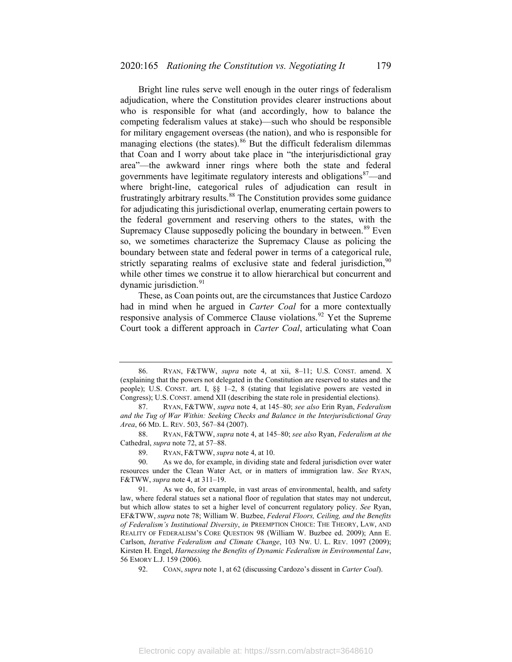Bright line rules serve well enough in the outer rings of federalism adjudication, where the Constitution provides clearer instructions about who is responsible for what (and accordingly, how to balance the competing federalism values at stake)—such who should be responsible for military engagement overseas (the nation), and who is responsible for managing elections (the states).<sup>[86](#page-15-0)</sup> But the difficult federalism dilemmas that Coan and I worry about take place in "the interjurisdictional gray area"—the awkward inner rings where both the state and federal governments have legitimate regulatory interests and obligations<sup>[87](#page-15-1)</sup>—and where bright-line, categorical rules of adjudication can result in frustratingly arbitrary results.<sup>[88](#page-15-2)</sup> The Constitution provides some guidance for adjudicating this jurisdictional overlap, enumerating certain powers to the federal government and reserving others to the states, with the Supremacy Clause supposedly policing the boundary in between.<sup>[89](#page-15-3)</sup> Even so, we sometimes characterize the Supremacy Clause as policing the boundary between state and federal power in terms of a categorical rule, strictly separating realms of exclusive state and federal jurisdiction,  $90$ while other times we construe it to allow hierarchical but concurrent and dynamic jurisdiction.<sup>[91](#page-15-5)</sup>

These, as Coan points out, are the circumstances that Justice Cardozo had in mind when he argued in *Carter Coal* for a more contextually responsive analysis of Commerce Clause violations.<sup>[92](#page-15-6)</sup> Yet the Supreme Court took a different approach in *Carter Coal*, articulating what Coan

89. RYAN, F&TWW, *supra* note [4,](#page-2-0) at 10.

<span id="page-15-0"></span><sup>86.</sup> RYAN, F&TWW, *supra* note [4,](#page-2-0) at xii, 8–11; U.S. CONST. amend. X (explaining that the powers not delegated in the Constitution are reserved to states and the people); U.S. CONST. art. I, §§ 1–2, 8 (stating that legislative powers are vested in Congress); U.S. CONST. amend XII (describing the state role in presidential elections).

<span id="page-15-1"></span><sup>87.</sup> RYAN, F&TWW, *supra* note [4,](#page-2-0) at 145–80; *see also* Erin Ryan, *Federalism and the Tug of War Within: Seeking Checks and Balance in the Interjurisdictional Gray Area*, 66 MD. L. REV. 503, 567–84 (2007).

<span id="page-15-2"></span><sup>88.</sup> RYAN, F&TWW, *supra* note [4,](#page-2-0) at 145–80; *see also* Ryan, *Federalism at the* Cathedral, *supra* note [72,](#page-12-6) at 57–88.

<span id="page-15-4"></span><span id="page-15-3"></span><sup>90.</sup> As we do, for example, in dividing state and federal jurisdiction over water resources under the Clean Water Act, or in matters of immigration law. *See* RYAN, F&TWW, *supra* not[e 4,](#page-2-0) at 311–19.

<span id="page-15-5"></span><sup>91.</sup> As we do, for example, in vast areas of environmental, health, and safety law, where federal statues set a national floor of regulation that states may not undercut, but which allow states to set a higher level of concurrent regulatory policy. *See* Ryan, EF&TWW, *supra* note [78;](#page-13-0) William W. Buzbee, *Federal Floors, Ceiling, and the Benefits of Federalism's Institutional Diversity*, *in* PREEMPTION CHOICE: THE THEORY, LAW, AND REALITY OF FEDERALISM'S CORE QUESTION 98 (William W. Buzbee ed. 2009); Ann E. Carlson, *Iterative Federalism and Climate Change*, 103 NW. U. L. REV. 1097 (2009); Kirsten H. Engel, *Harnessing the Benefits of Dynamic Federalism in Environmental Law*, 56 EMORY L.J. 159 (2006).

<span id="page-15-6"></span><sup>92.</sup> COAN, *supra* not[e 1,](#page-1-4) at 62 (discussing Cardozo's dissent in *Carter Coal*).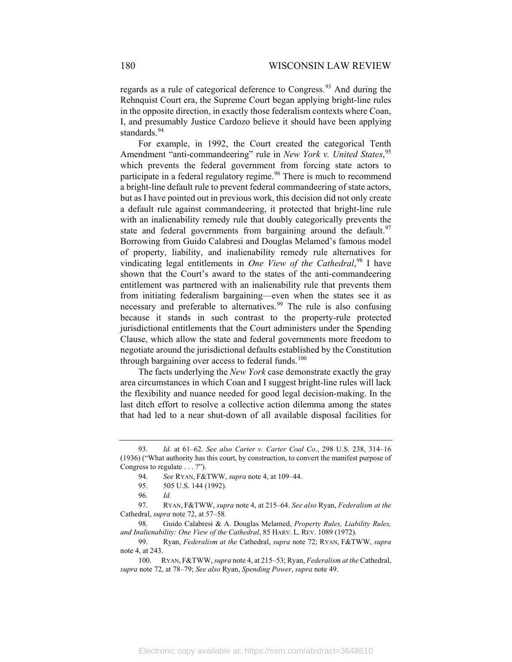regards as a rule of categorical deference to Congress.<sup>[93](#page-16-0)</sup> And during the Rehnquist Court era, the Supreme Court began applying bright-line rules in the opposite direction, in exactly those federalism contexts where Coan, I, and presumably Justice Cardozo believe it should have been applying standards.<sup>[94](#page-16-1)</sup>

For example, in 1992, the Court created the categorical Tenth Amendment "anti-commandeering" rule in *New York v. United States*, [95](#page-16-2) which prevents the federal government from forcing state actors to participate in a federal regulatory regime.<sup>[96](#page-16-3)</sup> There is much to recommend a bright-line default rule to prevent federal commandeering of state actors, but as I have pointed out in previous work, this decision did not only create a default rule against commandeering, it protected that bright-line rule with an inalienability remedy rule that doubly categorically prevents the state and federal governments from bargaining around the default.<sup>[97](#page-16-4)</sup> Borrowing from Guido Calabresi and Douglas Melamed's famous model of property, liability, and inalienability remedy rule alternatives for vindicating legal entitlements in *One View of the Cathedral*, [98](#page-16-5) I have shown that the Court's award to the states of the anti-commandeering entitlement was partnered with an inalienability rule that prevents them from initiating federalism bargaining—even when the states see it as necessary and preferable to alternatives.<sup>[99](#page-16-6)</sup> The rule is also confusing because it stands in such contrast to the property-rule protected jurisdictional entitlements that the Court administers under the Spending Clause, which allow the state and federal governments more freedom to negotiate around the jurisdictional defaults established by the Constitution through bargaining over access to federal funds. $100$ 

The facts underlying the *New York* case demonstrate exactly the gray area circumstances in which Coan and I suggest bright-line rules will lack the flexibility and nuance needed for good legal decision-making. In the last ditch effort to resolve a collective action dilemma among the states that had led to a near shut-down of all available disposal facilities for

<span id="page-16-1"></span><span id="page-16-0"></span><sup>93.</sup> *Id.* at 61–62. *See also Carter v. Carter Coal Co.*, 298 U.S. 238, 314–16 (1936) ("What authority has this court, by construction, to convert the manifest purpose of Congress to regulate . . . ?").

<sup>94.</sup> *See* RYAN, F&TWW, *supra* not[e 4,](#page-2-0) at 109–44.

<sup>95.</sup> 505 U.S. 144 (1992).

<sup>96.</sup> *Id.*

<span id="page-16-4"></span><span id="page-16-3"></span><span id="page-16-2"></span><sup>97.</sup> RYAN, F&TWW, *supra* note [4,](#page-2-0) at 215–64. *See also* Ryan, *Federalism at the*  Cathedral, *supra* note [72,](#page-12-6) at 57–58.

<span id="page-16-5"></span><sup>98.</sup> Guido Calabresi & A. Douglas Melamed, *Property Rules, Liability Rules, and Inalienability: One View of the Cathedral*, 85 HARV. L. REV. 1089 (1972).

<span id="page-16-6"></span><sup>99.</sup> Ryan, *Federalism at the* Cathedral, *supra* note [72;](#page-12-6) RYAN, F&TWW, *supra* not[e 4,](#page-2-0) at 243.

<span id="page-16-7"></span><sup>100.</sup> RYAN, F&TWW, *supra* not[e 4,](#page-2-0) at 215–53; Ryan, *Federalism at the* Cathedral, *supra* not[e 72,](#page-12-6) at 78–79; *See also* Ryan, *Spending Power*, *supra* not[e 49.](#page-8-11)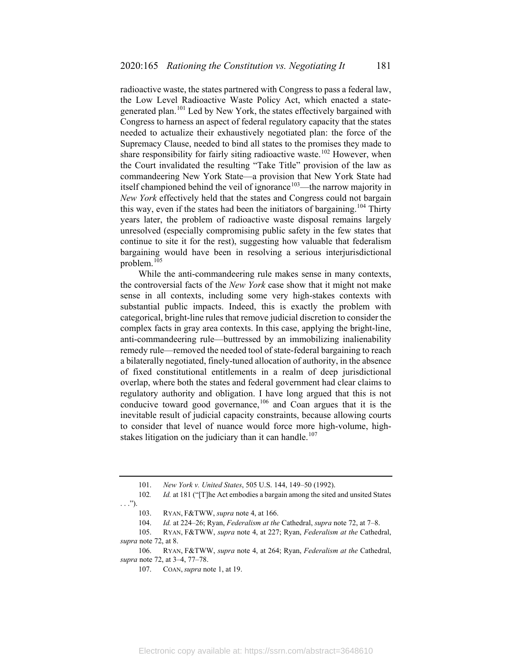radioactive waste, the states partnered with Congress to pass a federal law, the Low Level Radioactive Waste Policy Act, which enacted a state-generated plan.<sup>[101](#page-17-0)</sup> Led by New York, the states effectively bargained with Congress to harness an aspect of federal regulatory capacity that the states needed to actualize their exhaustively negotiated plan: the force of the Supremacy Clause, needed to bind all states to the promises they made to share responsibility for fairly siting radioactive waste.<sup>[102](#page-17-1)</sup> However, when the Court invalidated the resulting "Take Title" provision of the law as commandeering New York State—a provision that New York State had itself championed behind the veil of ignorance<sup>103</sup>—the narrow majority in *New York* effectively held that the states and Congress could not bargain this way, even if the states had been the initiators of bargaining.<sup>[104](#page-17-3)</sup> Thirty years later, the problem of radioactive waste disposal remains largely unresolved (especially compromising public safety in the few states that continue to site it for the rest), suggesting how valuable that federalism bargaining would have been in resolving a serious interjurisdictional problem.[105](#page-17-4)

While the anti-commandeering rule makes sense in many contexts, the controversial facts of the *New York* case show that it might not make sense in all contexts, including some very high-stakes contexts with substantial public impacts. Indeed, this is exactly the problem with categorical, bright-line rules that remove judicial discretion to consider the complex facts in gray area contexts. In this case, applying the bright-line, anti-commandeering rule—buttressed by an immobilizing inalienability remedy rule—removed the needed tool of state-federal bargaining to reach a bilaterally negotiated, finely-tuned allocation of authority, in the absence of fixed constitutional entitlements in a realm of deep jurisdictional overlap, where both the states and federal government had clear claims to regulatory authority and obligation. I have long argued that this is not conducive toward good governance,<sup>[106](#page-17-5)</sup> and Coan argues that it is the inevitable result of judicial capacity constraints, because allowing courts to consider that level of nuance would force more high-volume, high-stakes litigation on the judiciary than it can handle.<sup>[107](#page-17-6)</sup>

<span id="page-17-6"></span><span id="page-17-5"></span>106. RYAN, F&TWW, *supra* note [4,](#page-2-0) at 264; Ryan, *Federalism at the* Cathedral, *supra* not[e 72,](#page-12-6) at 3–4, 77–78.

<sup>101.</sup> *New York v. United States*, 505 U.S. 144, 149–50 (1992).

<span id="page-17-1"></span><span id="page-17-0"></span><sup>102</sup>*. Id.* at 181 ("[T]he Act embodies a bargain among the sited and unsited States  $\ldots$ ").

<sup>103.</sup> RYAN, F&TWW, *supra* note [4,](#page-2-0) at 166.

<sup>104.</sup> *Id.* at 224–26; Ryan, *Federalism at the* Cathedral, *supra* note [72,](#page-12-6) at 7–8.

<span id="page-17-4"></span><span id="page-17-3"></span><span id="page-17-2"></span><sup>105.</sup> RYAN, F&TWW, *supra* note [4,](#page-2-0) at 227; Ryan, *Federalism at the* Cathedral, *supra* not[e 72,](#page-12-6) at 8.

<sup>107.</sup> COAN, *supra* note 1, at 19.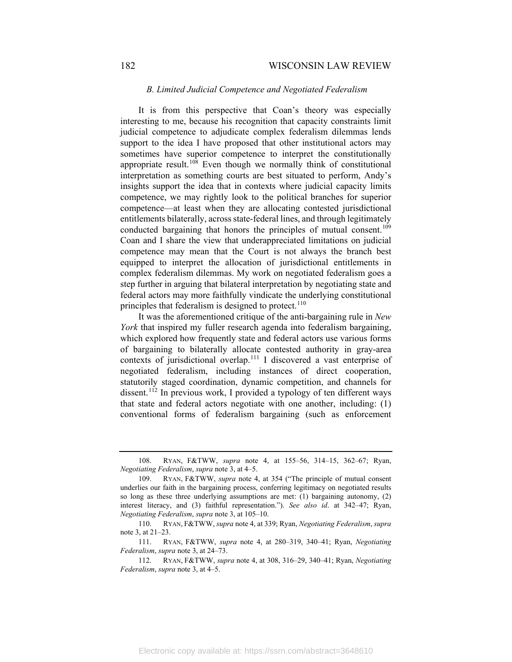### 182 WISCONSIN LAW REVIEW

#### *B. Limited Judicial Competence and Negotiated Federalism*

It is from this perspective that Coan's theory was especially interesting to me, because his recognition that capacity constraints limit judicial competence to adjudicate complex federalism dilemmas lends support to the idea I have proposed that other institutional actors may sometimes have superior competence to interpret the constitutionally appropriate result.<sup>[108](#page-18-0)</sup> Even though we normally think of constitutional interpretation as something courts are best situated to perform, Andy's insights support the idea that in contexts where judicial capacity limits competence, we may rightly look to the political branches for superior competence—at least when they are allocating contested jurisdictional entitlements bilaterally, across state-federal lines, and through legitimately conducted bargaining that honors the principles of mutual consent.<sup>[109](#page-18-1)</sup> Coan and I share the view that underappreciated limitations on judicial competence may mean that the Court is not always the branch best equipped to interpret the allocation of jurisdictional entitlements in complex federalism dilemmas. My work on negotiated federalism goes a step further in arguing that bilateral interpretation by negotiating state and federal actors may more faithfully vindicate the underlying constitutional principles that federalism is designed to protect.<sup>[110](#page-18-2)</sup>

It was the aforementioned critique of the anti-bargaining rule in *New York* that inspired my fuller research agenda into federalism bargaining, which explored how frequently state and federal actors use various forms of bargaining to bilaterally allocate contested authority in gray-area contexts of jurisdictional overlap.<sup>[111](#page-18-3)</sup> I discovered a vast enterprise of negotiated federalism, including instances of direct cooperation, statutorily staged coordination, dynamic competition, and channels for dissent.<sup>[112](#page-18-4)</sup> In previous work, I provided a typology of ten different ways that state and federal actors negotiate with one another, including: (1) conventional forms of federalism bargaining (such as enforcement

<span id="page-18-0"></span><sup>108.</sup> RYAN, F&TWW, *supra* note [4,](#page-2-0) at 155–56, 314–15, 362–67; Ryan, *Negotiating Federalism*, *supra* not[e 3,](#page-2-9) at 4–5.

<span id="page-18-1"></span><sup>109.</sup> RYAN, F&TWW, *supra* note [4,](#page-2-0) at 354 ("The principle of mutual consent underlies our faith in the bargaining process, conferring legitimacy on negotiated results so long as these three underlying assumptions are met: (1) bargaining autonomy, (2) interest literacy, and (3) faithful representation."). *See also id*. at 342–47; Ryan, *Negotiating Federalism*, *supra* not[e 3,](#page-2-9) at 105–10.

<span id="page-18-2"></span><sup>110.</sup> RYAN, F&TWW, *supra* note [4,](#page-2-0) at 339; Ryan, *Negotiating Federalism*, *supra* not[e 3,](#page-2-9) at 21–23.

<span id="page-18-3"></span><sup>111.</sup> RYAN, F&TWW, *supra* note [4,](#page-2-0) at 280–319, 340–41; Ryan, *Negotiating Federalism*, *supra* note [3,](#page-2-9) at 24–73.

<span id="page-18-4"></span><sup>112.</sup> RYAN, F&TWW, *supra* note [4,](#page-2-0) at 308, 316–29, 340–41; Ryan, *Negotiating Federalism*, *supra* note [3,](#page-2-9) at 4–5.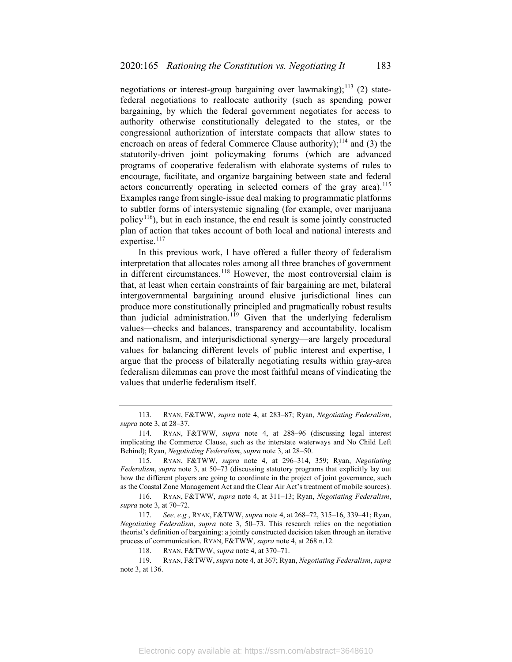negotiations or interest-group bargaining over lawmaking);<sup>[113](#page-19-0)</sup> (2) statefederal negotiations to reallocate authority (such as spending power bargaining, by which the federal government negotiates for access to authority otherwise constitutionally delegated to the states, or the congressional authorization of interstate compacts that allow states to encroach on areas of federal Commerce Clause authority);<sup>[114](#page-19-1)</sup> and (3) the statutorily-driven joint policymaking forums (which are advanced programs of cooperative federalism with elaborate systems of rules to encourage, facilitate, and organize bargaining between state and federal actors concurrently operating in selected corners of the gray area).<sup>[115](#page-19-2)</sup> Examples range from single-issue deal making to programmatic platforms to subtler forms of intersystemic signaling (for example, over marijuana policy<sup>116</sup>), but in each instance, the end result is some jointly constructed plan of action that takes account of both local and national interests and expertise.<sup>[117](#page-19-4)</sup>

In this previous work, I have offered a fuller theory of federalism interpretation that allocates roles among all three branches of government in different circumstances.<sup>[118](#page-19-5)</sup> However, the most controversial claim is that, at least when certain constraints of fair bargaining are met, bilateral intergovernmental bargaining around elusive jurisdictional lines can produce more constitutionally principled and pragmatically robust results than judicial administration.<sup>[119](#page-19-6)</sup> Given that the underlying federalism values—checks and balances, transparency and accountability, localism and nationalism, and interjurisdictional synergy—are largely procedural values for balancing different levels of public interest and expertise, I argue that the process of bilaterally negotiating results within gray-area federalism dilemmas can prove the most faithful means of vindicating the values that underlie federalism itself.

<span id="page-19-0"></span><sup>113.</sup> RYAN, F&TWW, *supra* note [4,](#page-2-0) at 283–87; Ryan, *Negotiating Federalism*, *supra* not[e 3,](#page-2-9) at 28–37.

<span id="page-19-1"></span><sup>114.</sup> RYAN, F&TWW, *supra* note [4,](#page-2-0) at 288–96 (discussing legal interest implicating the Commerce Clause, such as the interstate waterways and No Child Left Behind); Ryan, *Negotiating Federalism*, *supra* note [3,](#page-2-9) at 28–50.

<span id="page-19-2"></span><sup>115.</sup> RYAN, F&TWW, *supra* note [4,](#page-2-0) at 296–314, 359; Ryan, *Negotiating Federalism*, *supra* note [3,](#page-2-9) at 50–73 (discussing statutory programs that explicitly lay out how the different players are going to coordinate in the project of joint governance, such as the Coastal Zone Management Act and the Clear Air Act's treatment of mobile sources).

<span id="page-19-3"></span><sup>116.</sup> RYAN, F&TWW, *supra* note [4,](#page-2-0) at 311–13; Ryan, *Negotiating Federalism*, *supra* not[e 3,](#page-2-9) at 70–72.

<span id="page-19-4"></span><sup>117.</sup> *See, e.g.*, RYAN, F&TWW, *supra* not[e 4,](#page-2-0) at 268–72, 315–16, 339–41; Ryan, *Negotiating Federalism*, *supra* note [3,](#page-2-9) 50–73. This research relies on the negotiation theorist's definition of bargaining: a jointly constructed decision taken through an iterative process of communication. RYAN, F&TWW, *supra* note [4,](#page-2-0) at 268 n.12.

<sup>118.</sup> RYAN, F&TWW, *supra* note [4,](#page-2-0) at 370–71.

<span id="page-19-6"></span><span id="page-19-5"></span><sup>119.</sup> RYAN, F&TWW, *supra* note [4,](#page-2-0) at 367; Ryan, *Negotiating Federalism*, *supra*  not[e 3,](#page-2-9) at 136.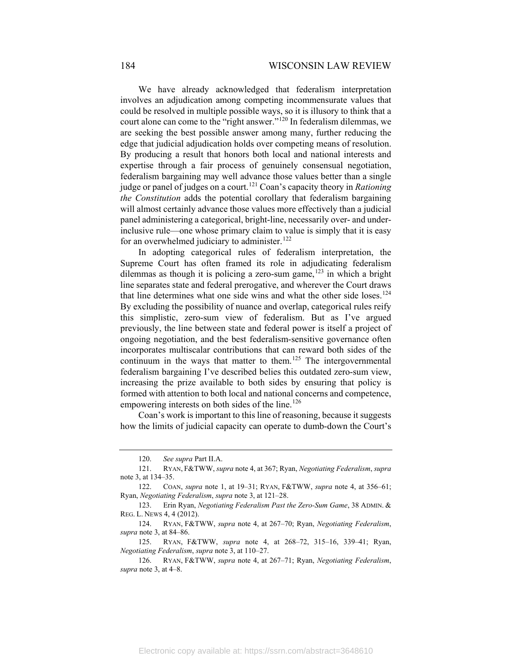We have already acknowledged that federalism interpretation involves an adjudication among competing incommensurate values that could be resolved in multiple possible ways, so it is illusory to think that a court alone can come to the "right answer."[120](#page-20-0) In federalism dilemmas, we are seeking the best possible answer among many, further reducing the edge that judicial adjudication holds over competing means of resolution. By producing a result that honors both local and national interests and expertise through a fair process of genuinely consensual negotiation, federalism bargaining may well advance those values better than a single judge or panel of judges on a court.[121](#page-20-1) Coan's capacity theory in *Rationing the Constitution* adds the potential corollary that federalism bargaining will almost certainly advance those values more effectively than a judicial panel administering a categorical, bright-line, necessarily over- and underinclusive rule—one whose primary claim to value is simply that it is easy for an overwhelmed judiciary to administer.<sup>[122](#page-20-2)</sup>

In adopting categorical rules of federalism interpretation, the Supreme Court has often framed its role in adjudicating federalism dilemmas as though it is policing a zero-sum game, $123$  in which a bright line separates state and federal prerogative, and wherever the Court draws that line determines what one side wins and what the other side loses.<sup>[124](#page-20-4)</sup> By excluding the possibility of nuance and overlap, categorical rules reify this simplistic, zero-sum view of federalism. But as I've argued previously, the line between state and federal power is itself a project of ongoing negotiation, and the best federalism-sensitive governance often incorporates multiscalar contributions that can reward both sides of the continuum in the ways that matter to them.<sup>[125](#page-20-5)</sup> The intergovernmental federalism bargaining I've described belies this outdated zero-sum view, increasing the prize available to both sides by ensuring that policy is formed with attention to both local and national concerns and competence, empowering interests on both sides of the line.<sup>[126](#page-20-6)</sup>

Coan's work is important to this line of reasoning, because it suggests how the limits of judicial capacity can operate to dumb-down the Court's

<sup>120.</sup> *See supra* Part II.A.

<span id="page-20-1"></span><span id="page-20-0"></span><sup>121.</sup> RYAN, F&TWW, *supra* note [4,](#page-2-0) at 367; Ryan, *Negotiating Federalism*, *supra*  not[e 3,](#page-2-9) at 134–35.

<span id="page-20-3"></span><span id="page-20-2"></span><sup>122.</sup> COAN, *supra* note [1,](#page-1-4) at 19–31; RYAN, F&TWW, *supra* note [4,](#page-2-0) at 356–61; Ryan, *Negotiating Federalism*, *supra* not[e 3,](#page-2-9) at 121–28.

<sup>123.</sup> Erin Ryan, *Negotiating Federalism Past the Zero-Sum Game*, 38 ADMIN. & REG. L. NEWS 4, 4 (2012).

<span id="page-20-4"></span><sup>124.</sup> RYAN, F&TWW, *supra* note [4,](#page-2-0) at 267–70; Ryan, *Negotiating Federalism*, *supra* not[e 3,](#page-2-9) at 84–86.

<span id="page-20-5"></span><sup>125.</sup> RYAN, F&TWW, *supra* note [4,](#page-2-0) at 268–72, 315–16, 339–41; Ryan, *Negotiating Federalism*, *supra* not[e 3,](#page-2-9) at 110–27.

<span id="page-20-6"></span><sup>126.</sup> RYAN, F&TWW, *supra* note [4,](#page-2-0) at 267–71; Ryan, *Negotiating Federalism*, *supra* not[e 3,](#page-2-9) at 4–8.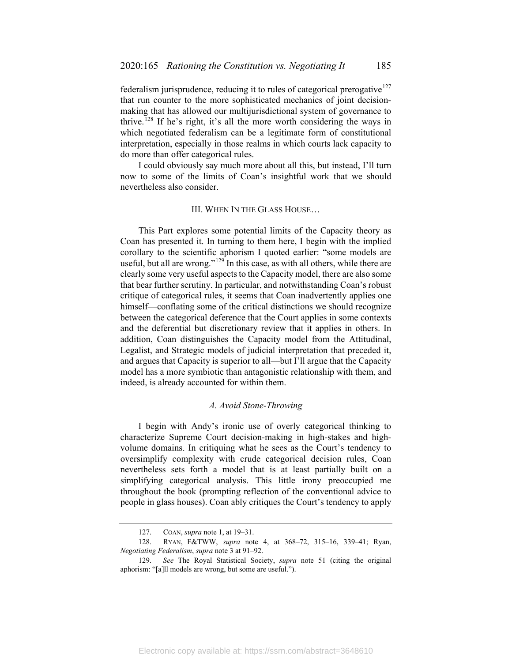federalism jurisprudence, reducing it to rules of categorical prerogative<sup>[127](#page-21-0)</sup> that run counter to the more sophisticated mechanics of joint decisionmaking that has allowed our multijurisdictional system of governance to thrive.<sup>[128](#page-21-1)</sup> If he's right, it's all the more worth considering the ways in which negotiated federalism can be a legitimate form of constitutional interpretation, especially in those realms in which courts lack capacity to do more than offer categorical rules.

I could obviously say much more about all this, but instead, I'll turn now to some of the limits of Coan's insightful work that we should nevertheless also consider.

#### III. WHEN IN THE GLASS HOUSE…

This Part explores some potential limits of the Capacity theory as Coan has presented it. In turning to them here, I begin with the implied corollary to the scientific aphorism I quoted earlier: "some models are useful, but all are wrong."<sup>[129](#page-21-2)</sup> In this case, as with all others, while there are clearly some very useful aspects to the Capacity model, there are also some that bear further scrutiny. In particular, and notwithstanding Coan's robust critique of categorical rules, it seems that Coan inadvertently applies one himself—conflating some of the critical distinctions we should recognize between the categorical deference that the Court applies in some contexts and the deferential but discretionary review that it applies in others. In addition, Coan distinguishes the Capacity model from the Attitudinal, Legalist, and Strategic models of judicial interpretation that preceded it, and argues that Capacity is superior to all—but I'll argue that the Capacity model has a more symbiotic than antagonistic relationship with them, and indeed, is already accounted for within them.

#### *A. Avoid Stone-Throwing*

I begin with Andy's ironic use of overly categorical thinking to characterize Supreme Court decision-making in high-stakes and highvolume domains. In critiquing what he sees as the Court's tendency to oversimplify complexity with crude categorical decision rules, Coan nevertheless sets forth a model that is at least partially built on a simplifying categorical analysis. This little irony preoccupied me throughout the book (prompting reflection of the conventional advice to people in glass houses). Coan ably critiques the Court's tendency to apply

<sup>127.</sup> COAN, *supra* not[e 1,](#page-1-4) at 19–31.

<span id="page-21-1"></span><span id="page-21-0"></span><sup>128.</sup> RYAN, F&TWW, *supra* note [4,](#page-2-0) at 368–72, 315–16, 339–41; Ryan, *Negotiating Federalism*, *supra* not[e 3](#page-2-9) at 91–92.

<span id="page-21-2"></span><sup>129.</sup> *See* The Royal Statistical Society, *supra* note [51](#page-9-6) (citing the original aphorism: "[a]ll models are wrong, but some are useful.").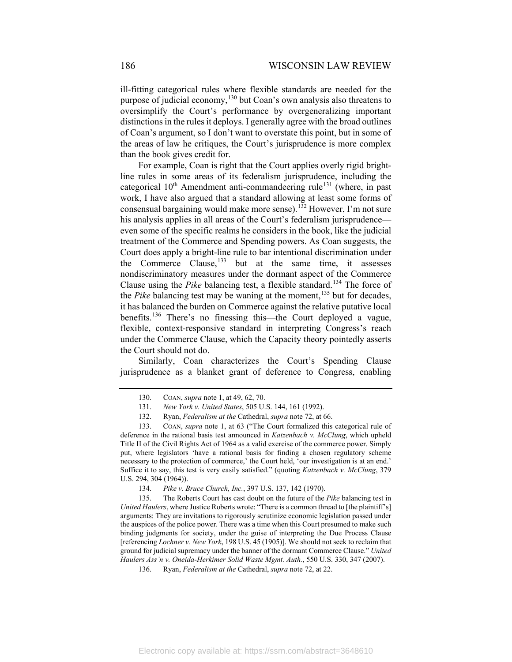ill-fitting categorical rules where flexible standards are needed for the purpose of judicial economy,<sup>[130](#page-22-0)</sup> but Coan's own analysis also threatens to oversimplify the Court's performance by overgeneralizing important distinctions in the rules it deploys. I generally agree with the broad outlines of Coan's argument, so I don't want to overstate this point, but in some of the areas of law he critiques, the Court's jurisprudence is more complex than the book gives credit for.

For example, Coan is right that the Court applies overly rigid brightline rules in some areas of its federalism jurisprudence, including the categorical  $10^{th}$  Amendment anti-commandeering rule<sup>[131](#page-22-1)</sup> (where, in past work, I have also argued that a standard allowing at least some forms of consensual bargaining would make more sense).[132](#page-22-2) However, I'm not sure his analysis applies in all areas of the Court's federalism jurisprudence even some of the specific realms he considers in the book, like the judicial treatment of the Commerce and Spending powers. As Coan suggests, the Court does apply a bright-line rule to bar intentional discrimination under the Commerce Clause, $^{133}$  $^{133}$  $^{133}$  but at the same time, it assesses nondiscriminatory measures under the dormant aspect of the Commerce Clause using the *Pike* balancing test, a flexible standard.<sup>[134](#page-22-4)</sup> The force of the *Pike* balancing test may be waning at the moment,<sup>[135](#page-22-5)</sup> but for decades, it has balanced the burden on Commerce against the relative putative local benefits.[136](#page-22-6) There's no finessing this—the Court deployed a vague, flexible, context-responsive standard in interpreting Congress's reach under the Commerce Clause, which the Capacity theory pointedly asserts the Court should not do.

Similarly, Coan characterizes the Court's Spending Clause jurisprudence as a blanket grant of deference to Congress, enabling

<sup>130.</sup> COAN, *supra* not[e 1,](#page-1-4) at 49, 62, 70.

<sup>131.</sup> *New York v. United States*, 505 U.S. 144, 161 (1992).

<sup>132.</sup> Ryan, *Federalism at the* Cathedral, *supra* not[e 72,](#page-12-6) at 66.

<span id="page-22-3"></span><span id="page-22-2"></span><span id="page-22-1"></span><span id="page-22-0"></span><sup>133.</sup> COAN, *supra* note [1,](#page-1-4) at 63 ("The Court formalized this categorical rule of deference in the rational basis test announced in *Katzenbach v. McClung*, which upheld Title II of the Civil Rights Act of 1964 as a valid exercise of the commerce power. Simply put, where legislators 'have a rational basis for finding a chosen regulatory scheme necessary to the protection of commerce,' the Court held, 'our investigation is at an end.' Suffice it to say, this test is very easily satisfied." (quoting *Katzenbach v. McClung*, 379 U.S. 294, 304 (1964)).

<sup>134.</sup> *Pike v. Bruce Church, Inc.*, 397 U.S. 137, 142 (1970).

<span id="page-22-6"></span><span id="page-22-5"></span><span id="page-22-4"></span><sup>135.</sup> The Roberts Court has cast doubt on the future of the *Pike* balancing test in *United Haulers*, where Justice Roberts wrote: "There is a common thread to [the plaintiff's] arguments: They are invitations to rigorously scrutinize economic legislation passed under the auspices of the police power. There was a time when this Court presumed to make such binding judgments for society, under the guise of interpreting the Due Process Clause [referencing *Lochner v. New York*, 198 U.S. 45 (1905)]. We should not seek to reclaim that ground for judicial supremacy under the banner of the dormant Commerce Clause." *United Haulers Ass'n v. Oneida-Herkimer Solid Waste Mgmt. Auth.*, 550 U.S. 330, 347 (2007).

<sup>136.</sup> Ryan, *Federalism at the* Cathedral, *supra* not[e 72,](#page-12-6) at 22.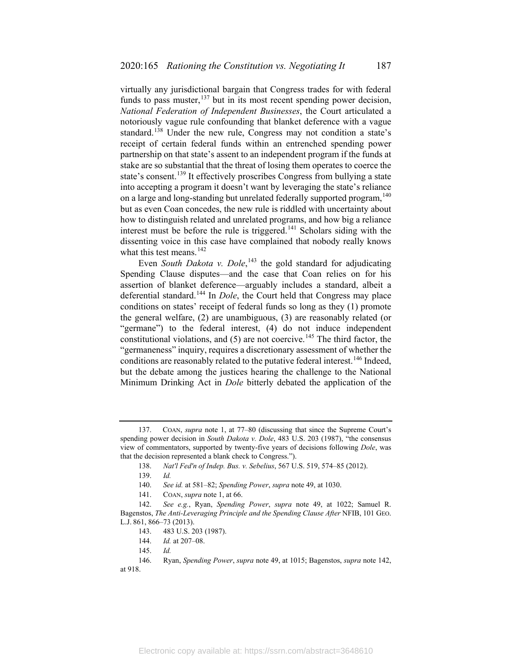virtually any jurisdictional bargain that Congress trades for with federal funds to pass muster,  $137$  but in its most recent spending power decision, *National Federation of Independent Businesses*, the Court articulated a notoriously vague rule confounding that blanket deference with a vague standard.<sup>[138](#page-23-2)</sup> Under the new rule, Congress may not condition a state's receipt of certain federal funds within an entrenched spending power partnership on that state's assent to an independent program if the funds at stake are so substantial that the threat of losing them operates to coerce the state's consent.<sup>[139](#page-23-3)</sup> It effectively proscribes Congress from bullying a state into accepting a program it doesn't want by leveraging the state's reliance on a large and long-standing but unrelated federally supported program, <sup>[140](#page-23-4)</sup> but as even Coan concedes, the new rule is riddled with uncertainty about how to distinguish related and unrelated programs, and how big a reliance interest must be before the rule is triggered.<sup>[141](#page-23-5)</sup> Scholars siding with the dissenting voice in this case have complained that nobody really knows what this test means.<sup>[142](#page-23-6)</sup>

<span id="page-23-0"></span>Even *South Dakota v. Dole*,<sup>[143](#page-23-7)</sup> the gold standard for adjudicating Spending Clause disputes—and the case that Coan relies on for his assertion of blanket deference—arguably includes a standard, albeit a deferential standard.<sup>[144](#page-23-8)</sup> In *Dole*, the Court held that Congress may place conditions on states' receipt of federal funds so long as they (1) promote the general welfare, (2) are unambiguous, (3) are reasonably related (or "germane") to the federal interest, (4) do not induce independent constitutional violations, and  $(5)$  are not coercive.<sup>[145](#page-23-9)</sup> The third factor, the "germaneness" inquiry, requires a discretionary assessment of whether the conditions are reasonably related to the putative federal interest.<sup>[146](#page-23-10)</sup> Indeed, but the debate among the justices hearing the challenge to the National Minimum Drinking Act in *Dole* bitterly debated the application of the

<span id="page-23-2"></span><span id="page-23-1"></span><sup>137.</sup> COAN, *supra* note [1,](#page-1-4) at 77–80 (discussing that since the Supreme Court's spending power decision in *South Dakota v. Dole*, 483 U.S. 203 (1987), "the consensus view of commentators, supported by twenty-five years of decisions following *Dole*, was that the decision represented a blank check to Congress.").

<sup>138.</sup> *Nat'l Fed'n of Indep. Bus. v. Sebelius*, 567 U.S. 519, 574–85 (2012).

<sup>139.</sup> *Id.*

<sup>140.</sup> *See id.* at 581–82; *Spending Power*, *supra* note [49,](#page-8-11) at 1030.

<sup>141.</sup> COAN, *supra* not[e 1,](#page-1-4) at 66.

<span id="page-23-7"></span><span id="page-23-6"></span><span id="page-23-5"></span><span id="page-23-4"></span><span id="page-23-3"></span><sup>142.</sup> *See e.g.*, Ryan, *Spending Power*, *supra* note [49,](#page-8-11) at 1022; Samuel R. Bagenstos, *The Anti-Leveraging Principle and the Spending Clause After* NFIB, 101 GEO. L.J. 861, 866–73 (2013).

<sup>143.</sup> 483 U.S. 203 (1987).

<sup>144.</sup> *Id.* at 207–08.

<sup>145.</sup> *Id.*

<span id="page-23-10"></span><span id="page-23-9"></span><span id="page-23-8"></span><sup>146.</sup> Ryan, *Spending Power*, *supra* note [49,](#page-8-11) at 1015; Bagenstos, *supra* note [142,](#page-23-0)  at 918.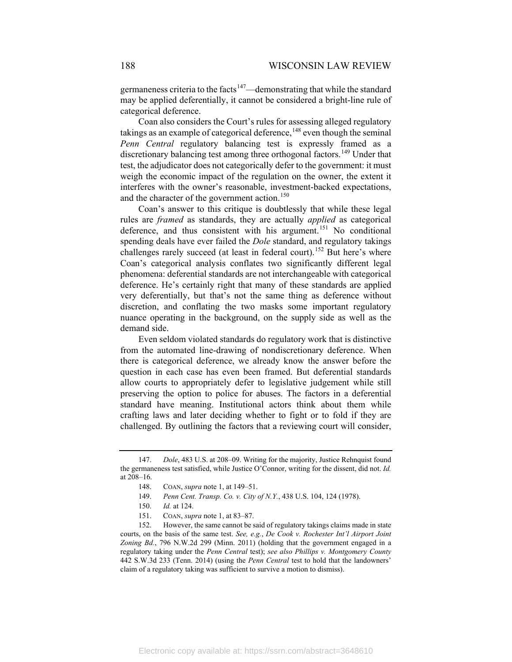germaneness criteria to the facts<sup>[147](#page-24-0)</sup>—demonstrating that while the standard may be applied deferentially, it cannot be considered a bright-line rule of categorical deference.

Coan also considers the Court's rules for assessing alleged regulatory takings as an example of categorical deference,  $148$  even though the seminal *Penn Central* regulatory balancing test is expressly framed as a discretionary balancing test among three orthogonal factors.<sup>[149](#page-24-2)</sup> Under that test, the adjudicator does not categorically defer to the government: it must weigh the economic impact of the regulation on the owner, the extent it interferes with the owner's reasonable, investment-backed expectations, and the character of the government action.<sup>[150](#page-24-3)</sup>

Coan's answer to this critique is doubtlessly that while these legal rules are *framed* as standards, they are actually *applied* as categorical deference, and thus consistent with his argument.<sup>[151](#page-24-4)</sup> No conditional spending deals have ever failed the *Dole* standard, and regulatory takings challenges rarely succeed (at least in federal court).<sup>[152](#page-24-5)</sup> But here's where Coan's categorical analysis conflates two significantly different legal phenomena: deferential standards are not interchangeable with categorical deference. He's certainly right that many of these standards are applied very deferentially, but that's not the same thing as deference without discretion, and conflating the two masks some important regulatory nuance operating in the background, on the supply side as well as the demand side.

Even seldom violated standards do regulatory work that is distinctive from the automated line-drawing of nondiscretionary deference. When there is categorical deference, we already know the answer before the question in each case has even been framed. But deferential standards allow courts to appropriately defer to legislative judgement while still preserving the option to police for abuses. The factors in a deferential standard have meaning. Institutional actors think about them while crafting laws and later deciding whether to fight or to fold if they are challenged. By outlining the factors that a reviewing court will consider,

<span id="page-24-1"></span><span id="page-24-0"></span><sup>147.</sup> *Dole*, 483 U.S. at 208–09. Writing for the majority, Justice Rehnquist found the germaneness test satisfied, while Justice O'Connor, writing for the dissent, did not. *Id.*  at 208–16.

<sup>148.</sup> COAN, *supra* not[e 1,](#page-1-4) at 149–51.

<sup>149.</sup> *Penn Cent. Transp. Co. v. City of N.Y.*, 438 U.S. 104, 124 (1978).

<sup>150.</sup> *Id.* at 124.

<sup>151.</sup> COAN, *supra* not[e 1,](#page-1-4) at 83–87.

<span id="page-24-5"></span><span id="page-24-4"></span><span id="page-24-3"></span><span id="page-24-2"></span><sup>152.</sup> However, the same cannot be said of regulatory takings claims made in state courts, on the basis of the same test. *See, e.g.*, *De Cook v. Rochester Int'l Airport Joint Zoning Bd.*, 796 N.W.2d 299 (Minn. 2011) (holding that the government engaged in a regulatory taking under the *Penn Central* test); *see also Phillips v. Montgomery County* 442 S.W.3d 233 (Tenn. 2014) (using the *Penn Central* test to hold that the landowners' claim of a regulatory taking was sufficient to survive a motion to dismiss).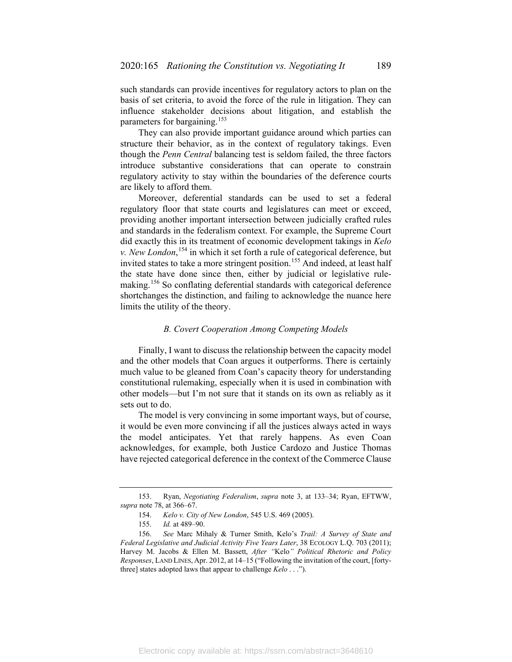such standards can provide incentives for regulatory actors to plan on the basis of set criteria, to avoid the force of the rule in litigation. They can influence stakeholder decisions about litigation, and establish the parameters for bargaining.<sup>[153](#page-25-0)</sup>

They can also provide important guidance around which parties can structure their behavior, as in the context of regulatory takings. Even though the *Penn Central* balancing test is seldom failed, the three factors introduce substantive considerations that can operate to constrain regulatory activity to stay within the boundaries of the deference courts are likely to afford them.

Moreover, deferential standards can be used to set a federal regulatory floor that state courts and legislatures can meet or exceed, providing another important intersection between judicially crafted rules and standards in the federalism context. For example, the Supreme Court did exactly this in its treatment of economic development takings in *Kelo v. New London*, [154](#page-25-1) in which it set forth a rule of categorical deference, but invited states to take a more stringent position.<sup>[155](#page-25-2)</sup> And indeed, at least half the state have done since then, either by judicial or legislative rule-making.<sup>[156](#page-25-3)</sup> So conflating deferential standards with categorical deference shortchanges the distinction, and failing to acknowledge the nuance here limits the utility of the theory.

#### *B. Covert Cooperation Among Competing Models*

Finally, I want to discuss the relationship between the capacity model and the other models that Coan argues it outperforms. There is certainly much value to be gleaned from Coan's capacity theory for understanding constitutional rulemaking, especially when it is used in combination with other models—but I'm not sure that it stands on its own as reliably as it sets out to do.

The model is very convincing in some important ways, but of course, it would be even more convincing if all the justices always acted in ways the model anticipates. Yet that rarely happens. As even Coan acknowledges, for example, both Justice Cardozo and Justice Thomas have rejected categorical deference in the context of the Commerce Clause

Electronic copy available at: https://ssrn.com/abstract=3648610

<span id="page-25-1"></span><span id="page-25-0"></span><sup>153.</sup> Ryan, *Negotiating Federalism*, *supra* note [3,](#page-2-9) at 133–34; Ryan, EFTWW, *supra* not[e 78,](#page-13-0) at 366–67.

<sup>154.</sup> *Kelo v. City of New London*, 545 U.S. 469 (2005).

<sup>155.</sup> *Id.* at 489–90.

<span id="page-25-3"></span><span id="page-25-2"></span><sup>156.</sup> *See* Marc Mihaly & Turner Smith, Kelo's *Trail: A Survey of State and Federal Legislative and Judicial Activity Five Years Later*, 38 ECOLOGY L.Q. 703 (2011); Harvey M. Jacobs & Ellen M. Bassett, *After "*Kelo*" Political Rhetoric and Policy Responses*, LAND LINES, Apr. 2012, at 14–15 ("Following the invitation of the court, [fortythree] states adopted laws that appear to challenge *Kelo* . . .").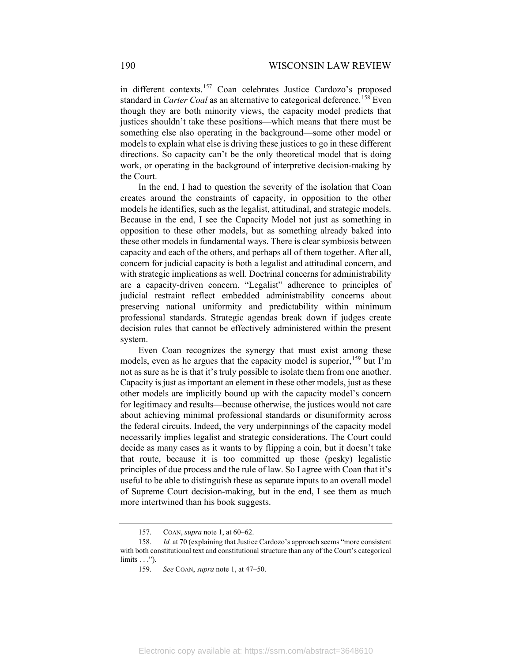in different contexts.<sup>[157](#page-26-0)</sup> Coan celebrates Justice Cardozo's proposed standard in *Carter Coal* as an alternative to categorical deference.<sup>[158](#page-26-1)</sup> Even though they are both minority views, the capacity model predicts that justices shouldn't take these positions—which means that there must be something else also operating in the background—some other model or models to explain what else is driving these justices to go in these different directions. So capacity can't be the only theoretical model that is doing work, or operating in the background of interpretive decision-making by the Court.

In the end, I had to question the severity of the isolation that Coan creates around the constraints of capacity, in opposition to the other models he identifies, such as the legalist, attitudinal, and strategic models. Because in the end, I see the Capacity Model not just as something in opposition to these other models, but as something already baked into these other models in fundamental ways. There is clear symbiosis between capacity and each of the others, and perhaps all of them together. After all, concern for judicial capacity is both a legalist and attitudinal concern, and with strategic implications as well. Doctrinal concerns for administrability are a capacity-driven concern. "Legalist" adherence to principles of judicial restraint reflect embedded administrability concerns about preserving national uniformity and predictability within minimum professional standards. Strategic agendas break down if judges create decision rules that cannot be effectively administered within the present system.

Even Coan recognizes the synergy that must exist among these models, even as he argues that the capacity model is superior,<sup>[159](#page-26-2)</sup> but I'm not as sure as he is that it's truly possible to isolate them from one another. Capacity is just as important an element in these other models, just as these other models are implicitly bound up with the capacity model's concern for legitimacy and results—because otherwise, the justices would not care about achieving minimal professional standards or disuniformity across the federal circuits. Indeed, the very underpinnings of the capacity model necessarily implies legalist and strategic considerations. The Court could decide as many cases as it wants to by flipping a coin, but it doesn't take that route, because it is too committed up those (pesky) legalistic principles of due process and the rule of law. So I agree with Coan that it's useful to be able to distinguish these as separate inputs to an overall model of Supreme Court decision-making, but in the end, I see them as much more intertwined than his book suggests.

<sup>157.</sup> COAN, *supra* not[e 1,](#page-1-4) at 60–62.

<span id="page-26-2"></span><span id="page-26-1"></span><span id="page-26-0"></span><sup>158.</sup> *Id.* at 70 (explaining that Justice Cardozo's approach seems "more consistent with both constitutional text and constitutional structure than any of the Court's categorical limits . . .").

<sup>159.</sup> *See* COAN, *supra* note [1,](#page-1-4) at 47–50.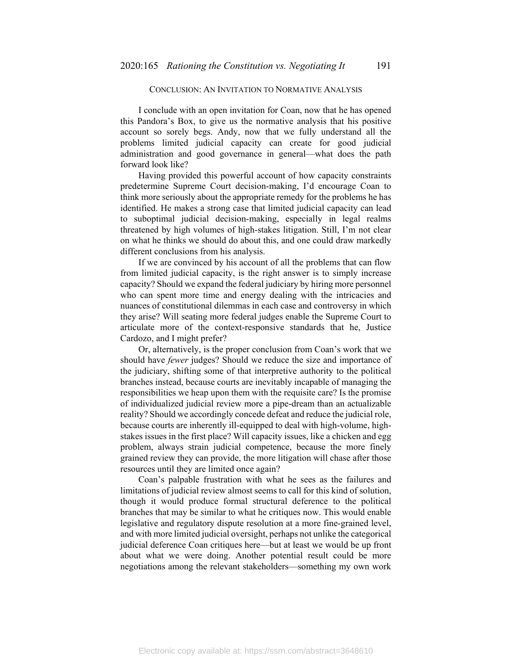## CONCLUSION: AN INVITATION TO NORMATIVE ANALYSIS

I conclude with an open invitation for Coan, now that he has opened this Pandora's Box, to give us the normative analysis that his positive account so sorely begs. Andy, now that we fully understand all the problems limited judicial capacity can create for good judicial administration and good governance in general—what does the path forward look like?

Having provided this powerful account of how capacity constraints predetermine Supreme Court decision-making, I'd encourage Coan to think more seriously about the appropriate remedy for the problems he has identified. He makes a strong case that limited judicial capacity can lead to suboptimal judicial decision-making, especially in legal realms threatened by high volumes of high-stakes litigation. Still, I'm not clear on what he thinks we should do about this, and one could draw markedly different conclusions from his analysis.

If we are convinced by his account of all the problems that can flow from limited judicial capacity, is the right answer is to simply increase capacity? Should we expand the federal judiciary by hiring more personnel who can spent more time and energy dealing with the intricacies and nuances of constitutional dilemmas in each case and controversy in which they arise? Will seating more federal judges enable the Supreme Court to articulate more of the context-responsive standards that he, Justice Cardozo, and I might prefer?

Or, alternatively, is the proper conclusion from Coan's work that we should have *fewer* judges? Should we reduce the size and importance of the judiciary, shifting some of that interpretive authority to the political branches instead, because courts are inevitably incapable of managing the responsibilities we heap upon them with the requisite care? Is the promise of individualized judicial review more a pipe-dream than an actualizable reality? Should we accordingly concede defeat and reduce the judicial role, because courts are inherently ill-equipped to deal with high-volume, highstakes issues in the first place? Will capacity issues, like a chicken and egg problem, always strain judicial competence, because the more finely grained review they can provide, the more litigation will chase after those resources until they are limited once again?

Coan's palpable frustration with what he sees as the failures and limitations of judicial review almost seems to call for this kind of solution, though it would produce formal structural deference to the political branches that may be similar to what he critiques now. This would enable legislative and regulatory dispute resolution at a more fine-grained level, and with more limited judicial oversight, perhaps not unlike the categorical judicial deference Coan critiques here—but at least we would be up front about what we were doing. Another potential result could be more negotiations among the relevant stakeholders—something my own work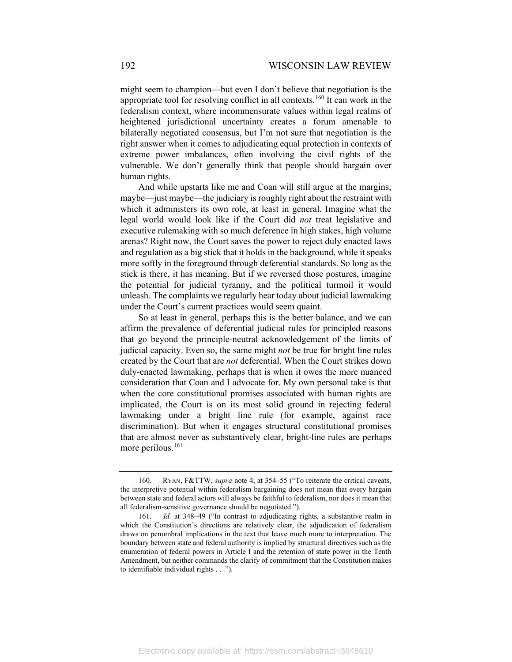might seem to champion—but even I don't believe that negotiation is the appropriate tool for resolving conflict in all contexts.<sup>[160](#page-28-0)</sup> It can work in the federalism context, where incommensurate values within legal realms of heightened jurisdictional uncertainty creates a forum amenable to bilaterally negotiated consensus, but I'm not sure that negotiation is the right answer when it comes to adjudicating equal protection in contexts of extreme power imbalances, often involving the civil rights of the vulnerable. We don't generally think that people should bargain over human rights.

And while upstarts like me and Coan will still argue at the margins, maybe—just maybe—the judiciary is roughly right about the restraint with which it administers its own role, at least in general. Imagine what the legal world would look like if the Court did *not* treat legislative and executive rulemaking with so much deference in high stakes, high volume arenas? Right now, the Court saves the power to reject duly enacted laws and regulation as a big stick that it holds in the background, while it speaks more softly in the foreground through deferential standards. So long as the stick is there, it has meaning. But if we reversed those postures, imagine the potential for judicial tyranny, and the political turmoil it would unleash. The complaints we regularly hear today about judicial lawmaking under the Court's current practices would seem quaint.

So at least in general, perhaps this is the better balance, and we can affirm the prevalence of deferential judicial rules for principled reasons that go beyond the principle-neutral acknowledgement of the limits of judicial capacity. Even so, the same might *not* be true for bright line rules created by the Court that are *not* deferential. When the Court strikes down duly-enacted lawmaking, perhaps that is when it owes the more nuanced consideration that Coan and I advocate for. My own personal take is that when the core constitutional promises associated with human rights are implicated, the Court is on its most solid ground in rejecting federal lawmaking under a bright line rule (for example, against race discrimination). But when it engages structural constitutional promises that are almost never as substantively clear, bright-line rules are perhaps more perilous.<sup>[161](#page-28-1)</sup>

<span id="page-28-0"></span><sup>160.</sup> RYAN, F&TTW, *supra* note [4,](#page-2-0) at 354–55 ("To reiterate the critical caveats, the interpretive potential within federalism bargaining does not mean that every bargain between state and federal actors will always be faithful to federalism, nor does it mean that all federalism-sensitive governance should be negotiated.").

<span id="page-28-1"></span><sup>161.</sup> *Id.* at 348–49 ("In contrast to adjudicating rights, a substantive realm in which the Constitution's directions are relatively clear, the adjudication of federalism draws on penumbral implications in the text that leave much more to interpretation. The boundary between state and federal authority is implied by structural directives such as the enumeration of federal powers in Article I and the retention of state power in the Tenth Amendment, but neither commands the clarify of commitment that the Constitution makes to identifiable individual rights . . .").